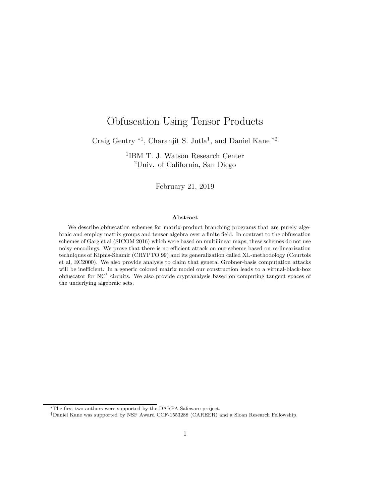# Obfuscation Using Tensor Products

Craig Gentry <sup>∗1</sup>, Charanjit S. Jutla<sup>1</sup>, and Daniel Kane <sup>†2</sup>

1 IBM T. J. Watson Research Center <sup>2</sup>Univ. of California, San Diego

February 21, 2019

#### Abstract

We describe obfuscation schemes for matrix-product branching programs that are purely algebraic and employ matrix groups and tensor algebra over a finite field. In contrast to the obfuscation schemes of Garg et al (SICOM 2016) which were based on multilinear maps, these schemes do not use noisy encodings. We prove that there is no efficient attack on our scheme based on re-linearization techniques of Kipnis-Shamir (CRYPTO 99) and its generalization called XL-methodology (Courtois et al, EC2000). We also provide analysis to claim that general Grobner-basis computation attacks will be inefficient. In a generic colored matrix model our construction leads to a virtual-black-box obfuscator for  $NC<sup>1</sup>$  circuits. We also provide cryptanalysis based on computing tangent spaces of the underlying algebraic sets.

<sup>∗</sup>The first two authors were supported by the DARPA Safeware project.

<sup>†</sup>Daniel Kane was supported by NSF Award CCF-1553288 (CAREER) and a Sloan Research Fellowship.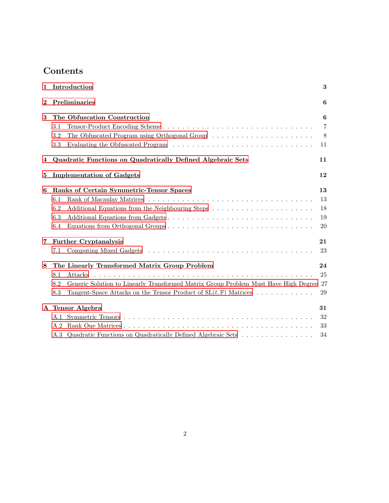# Contents

| 1              |         | Introduction                                                                           | 3              |  |  |
|----------------|---------|----------------------------------------------------------------------------------------|----------------|--|--|
| $\overline{2}$ |         | Preliminaries                                                                          |                |  |  |
| 3              |         | The Obfuscation Construction                                                           | 6              |  |  |
|                | 3.1     |                                                                                        | $\overline{7}$ |  |  |
|                | 3.2     |                                                                                        | 8              |  |  |
|                | $3.3\,$ |                                                                                        | 11             |  |  |
| 4              |         | Quadratic Functions on Quadratically Defined Algebraic Sets                            | 11             |  |  |
| 5              |         | <b>Implementation of Gadgets</b>                                                       | 12             |  |  |
| 6              |         | Ranks of Certain Symmetric-Tensor Spaces                                               | 13             |  |  |
|                | 6.1     |                                                                                        | 13             |  |  |
|                | 6.2     |                                                                                        | 18             |  |  |
|                | 6.3     | Additional Equations from Gadgets                                                      | 19             |  |  |
|                | 6.4     |                                                                                        | 20             |  |  |
| 7              |         | <b>Further Cryptanalysis</b>                                                           | 21             |  |  |
|                | 7.1     |                                                                                        | 23             |  |  |
| 8              |         | The Linearly Transformed Matrix Group Problem                                          | 24             |  |  |
|                | 8.1     | Attacks                                                                                | 25             |  |  |
|                | 8.2     | Generic Solution to Linearly Transformed Matrix Group Problem Must Have High Degree 27 |                |  |  |
|                | 8.3     | Tangent-Space Attacks on the Tensor Product of $SL(t, \mathbb{F})$ Matrices            | 29             |  |  |
|                |         | A Tensor Algebra                                                                       | 31             |  |  |
|                | A.1     |                                                                                        | 32             |  |  |
|                | A.2     |                                                                                        | 33             |  |  |
|                |         | A.3 Quadratic Functions on Quadratically Defined Algebraic Sets                        | 34             |  |  |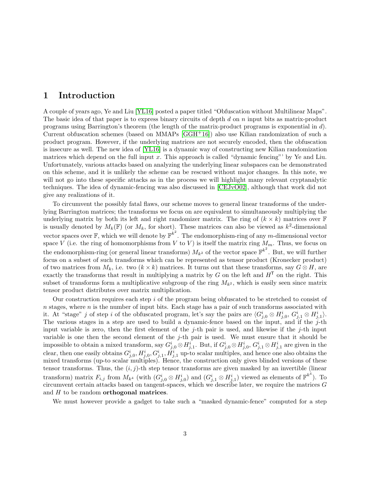# <span id="page-2-0"></span>1 Introduction

A couple of years ago, Ye and Liu [\[YL16\]](#page-30-1) posted a paper titled "Obfuscation without Multilinear Maps". The basic idea of that paper is to express binary circuits of depth d on  $n$  input bits as matrix-product programs using Barrington's theorem (the length of the matrix-product programs is exponential in d). Current obfuscation schemes (based on MMAPs [\[GGH](#page-29-0)+16]) also use Kilian randomization of such a product program. However, if the underlying matrices are not securely encoded, then the obfuscation is insecure as well. The new idea of [\[YL16\]](#page-30-1) is a dynamic way of constructing new Kilian randomization matrices which depend on the full input  $x$ . This approach is called "dynamic fencing"' by Ye and Liu. Unfortunately, various attacks based on analyzing the underlying linear subspaces can be demonstrated on this scheme, and it is unlikely the scheme can be rescued without major changes. In this note, we will not go into these specific attacks as in the process we will highlight many relevant cryptanalytic techniques. The idea of dynamic-fencing was also discussed in [\[CEJvO02\]](#page-29-1), although that work did not give any realizations of it.

To circumvent the possibly fatal flaws, our scheme moves to general linear transforms of the underlying Barrington matrices; the transforms we focus on are equivalent to simultaneously multiplying the underlying matrix by both its left and right randomizer matrix. The ring of  $(k \times k)$  matrices over F is usually denoted by  $M_k(\mathbb{F})$  (or  $M_k$ , for short). These matrices can also be viewed as  $k^2$ -dimensional vector spaces over  $\mathbb{F}$ , which we will denote by  $\mathbb{F}^{k^2}$ . The endomorphism-ring of any m-dimensional vector space V (i.e. the ring of homomorphisms from V to V) is itself the matrix ring  $M_m$ . Thus, we focus on the endomorphism-ring (or general linear transforms)  $M_{k^2}$  of the vector space  $\mathbb{F}^{k^2}$ . But, we will further focus on a subset of such transforms which can be represented as tensor product (Kronecker product) of two matrices from  $M_k$ , i.e. two  $(k \times k)$  matrices. It turns out that these transforms, say  $G \otimes H$ , are exactly the transforms that result in multiplying a matrix by G on the left and  $H<sup>T</sup>$  on the right. This subset of transforms form a multiplicative subgroup of the ring  $M_{k^2}$ , which is easily seen since matrix tensor product distributes over matrix multiplication.

Our construction requires each step  $i$  of the program being obfuscated to be stretched to consist of  $n$  stages, where  $n$  is the number of input bits. Each stage has a pair of such transforms associated with it. At "stage" j of step i of the obfuscated program, let's say the pairs are  $\langle G_{j,0}^i \otimes H_{j,0}^i, G_{j,1}^i \otimes H_{j,1}^i \rangle$ . The various stages in a step are used to build a dynamic-fence based on the input, and if the  $j$ -th input variable is zero, then the first element of the j-th pair is used, and likewise if the j-th input variable is one then the second element of the  $j$ -th pair is used. We must ensure that it should be impossible to obtain a mixed transform, say  $G_{j,0}^i \otimes H_{j,1}^i$ . But, if  $G_{j,0}^i \otimes H_{j,0}^i$ ,  $G_{j,1}^i \otimes H_{j,1}^i$  are given in the clear, then one easily obtains  $G^i_{j,0}, H^i_{j,0}, G^i_{j,1}, H^i_{j,1}$  up-to scalar multiples, and hence one also obtains the mixed transforms (up-to scalar multiples). Hence, the construction only gives blinded versions of these tensor transforms. Thus, the  $(i, j)$ -th step tensor transforms are given masked by an invertible (linear transform) matrix  $F_{i,j}$  from  $M_{k^4}$  (with  $(G_{j,0}^i \otimes H_{j,0}^i)$  and  $(G_{j,1}^i \otimes H_{j,1}^i)$  viewed as elements of  $\mathbb{F}^{k^4}$ ). To circumvent certain attacks based on tangent-spaces, which we describe later, we require the matrices  $G$ and  $H$  to be random **orthogonal matrices**.

We must however provide a gadget to take such a "masked dynamic-fence" computed for a step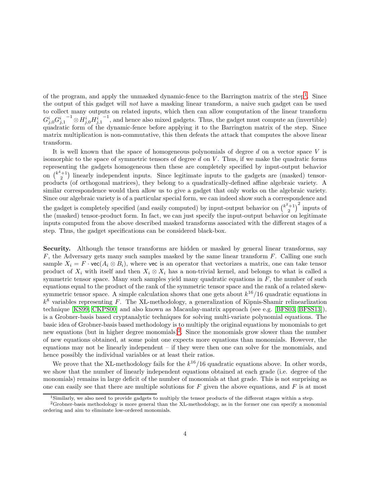of the program, and apply the unmasked dynamic-fence to the Barrington matrix of the step<sup>[1](#page-3-0)</sup>. Since the output of this gadget will not have a masking linear transform, a naive such gadget can be used to collect many outputs on related inputs, which then can allow computation of the linear transform  ${G^i_{j,0} {G^i_{j,1}}^{-1}} \!\otimes\! H^i_{j,0} H^i_{j,1}$  $-1$ , and hence also mixed gadgets. Thus, the gadget must compute an (invertible) quadratic form of the dynamic-fence before applying it to the Barrington matrix of the step. Since matrix multiplication is non-commutative, this then defeats the attack that computes the above linear transform.

It is well known that the space of homogeneous polynomials of degree  $d$  on a vector space  $V$  is isomorphic to the space of symmetric tensors of degree d on  $V$ . Thus, if we make the quadratic forms representing the gadgets homogeneous then these are completely specified by input-output behavior on  $\binom{k^4+1}{2}$  linearly independent inputs. Since legitimate inputs to the gadgets are (masked) tensorproducts (of orthogonal matrices), they belong to a quadratically-defined affine algebraic variety. A similar correspondence would then allow us to give a gadget that only works on the algebraic variety. Since our algebraic variety is of a particular special form, we can indeed show such a correspondence and the gadget is completely specified (and easily computed) by input-output behavior on  $\binom{k^2+1}{2}^2$  inputs of the (masked) tensor-product form. In fact, we can just specify the input-output behavior on legitimate inputs computed from the above described masked transforms associated with the different stages of a step. Thus, the gadget specifications can be considered black-box.

<span id="page-3-2"></span>Security. Although the tensor transforms are hidden or masked by general linear transforms, say  $F$ , the Adversary gets many such samples masked by the same linear transform  $F$ . Calling one such sample  $X_i = F \cdot \text{vec}(A_i \otimes B_i)$ , where vec is an operator that vectorizes a matrix, one can take tensor product of  $X_i$  with itself and then  $X_i \otimes X_i$  has a non-trivial kernel, and belongs to what is called a symmetric tensor space. Many such samples yield many quadratic equations in  $F$ , the number of such equations equal to the product of the rank of the symmetric tensor space and the rank of a related skewsymmetric tensor space. A simple calculation shows that one gets about  $k^{16}/16$  quadratic equations in  $k^8$  variables representing F. The XL-methodology, a generalization of Kipnis-Shamir relinearlization technique [\[KS99,](#page-30-2) [CKPS00\]](#page-29-2) and also known as Macaulay-matrix approach (see e.g. [\[BFS03,](#page-28-1) [BFSS13\]](#page-29-3)), is a Grobner-basis based cryptanalytic techniques for solving multi-variate polynomial equations. The basic idea of Grobner-basis based methodology is to multiply the original equations by monomials to get new equations (but in higher degree monomials)<sup>[2](#page-3-1)</sup>. Since the monomials grow slower than the number of new equations obtained, at some point one expects more equations than monomials. However, the equations may not be linearly independent – if they were then one can solve for the monomials, and hence possibly the individual variables or at least their ratios.

We prove that the XL-methodology fails for the  $k^{16}/16$  quadratic equations above. In other words, we show that the number of linearly independent equations obtained at each grade (i.e. degree of the monomials) remains in large deficit of the number of monomials at that grade. This is not surprising as one can easily see that there are multiple solutions for  $F$  given the above equations, and  $F$  is at most

<span id="page-3-0"></span><sup>1</sup>Similarly, we also need to provide gadgets to multiply the tensor products of the different stages within a step.

<span id="page-3-1"></span> ${}^{2}$ Grobner-basis methodology is more general than the XL-methodology, as in the former one can specify a monomial ordering and aim to eliminate low-ordered monomials.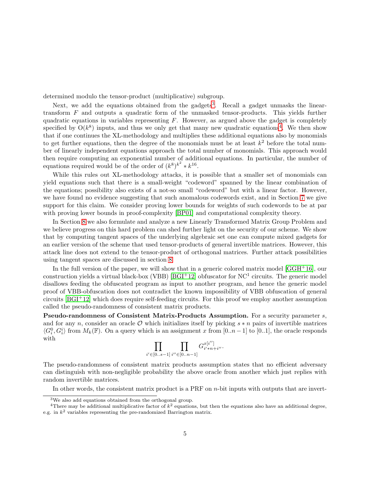determined modulo the tensor-product (multiplicative) subgroup.

Next, we add the equations obtained from the gadgets<sup>[3](#page-4-0)</sup>. Recall a gadget unmasks the lineartransform F and outputs a quadratic form of the unmasked tensor-products. This yields further quadratic equations in variables representing  $F$ . However, as argued above the gadget is completely specified by  $O(k^8)$  inputs, and thus we only get that many new quadratic equations<sup>[4](#page-4-1)</sup>. We then show that if one continues the XL-methodology and multiplies these additional equations also by monomials to get further equations, then the degree of the monomials must be at least  $k^2$  before the total number of linearly independent equations approach the total number of monomials. This approach would then require computing an exponential number of additional equations. In particular, the number of equations required would be of the order of  $(k^8)^{k^2} * k^{16}$ .

While this rules out XL-methodology attacks, it is possible that a smaller set of monomials can yield equations such that there is a small-weight "codeword" spanned by the linear combination of the equations; possibility also exists of a not-so small "codeword" but with a linear factor. However, we have found no evidence suggesting that such anomalous codewords exist, and in Section [7](#page-20-0) we give support for this claim. We consider proving lower bounds for weights of such codewords to be at par with proving lower bounds in proof-complexity [\[BP01\]](#page-29-4) and computational complexity theory.

In Section [8](#page-23-0) we also formulate and analyze a new Linearly Transformed Matrix Group Problem and we believe progress on this hard problem can shed further light on the security of our scheme. We show that by computing tangent spaces of the underlying algebraic set one can compute mixed gadgets for an earlier version of the scheme that used tensor-products of general invertible matrices. However, this attack line does not extend to the tensor-product of orthogonal matrices. Further attack possibilities using tangent spaces are discussed in section [8.](#page-23-0)

In the full version of the paper, we will show that in a generic colored matrix model [\[GGH](#page-29-0)+16], our construction yields a virtual black-box (VBB)  $[{\rm BGI^+12}]$  obfuscator for NC<sup>1</sup> circuits. The generic model disallows feeding the obfuscated program as input to another program, and hence the generic model proof of VBB-obfuscation does not contradict the known impossibility of VBB obfuscation of general circuits [\[BGI](#page-29-5)<sup>+</sup>12] which does require self-feeding circuits. For this proof we employ another assumption called the pseudo-randomness of consistent matrix products.

Pseudo-randomness of Consistent Matrix-Products Assumption. For a security parameter s, and for any n, consider an oracle  $\mathcal O$  which initializes itself by picking  $s * n$  pairs of invertible matrices  $\langle G_i^0, G_i^i \rangle$  from  $M_k(\mathbb{F})$ . On a query which is an assignment x from [0..n – 1] to [0..1], the oracle responds with

$$
\prod_{i'\in [0..s-1]}\prod_{i''\in [0..n-1]}G_{i'*n+i''}^{x[i'']}.
$$

The pseudo-randomness of consistent matrix products assumption states that no efficient adversary can distinguish with non-negligible probability the above oracle from another which just replies with random invertible matrices.

In other words, the consistent matrix product is a PRF on  $n$ -bit inputs with outputs that are invert-

<span id="page-4-0"></span><sup>3</sup>We also add equations obtained from the orthogonal group.

<span id="page-4-1"></span><sup>&</sup>lt;sup>4</sup>There may be additional multiplicative factor of  $k^2$  equations, but then the equations also have an additional degree, e.g. in  $k^2$  variables representing the pre-randomized Barrington matrix.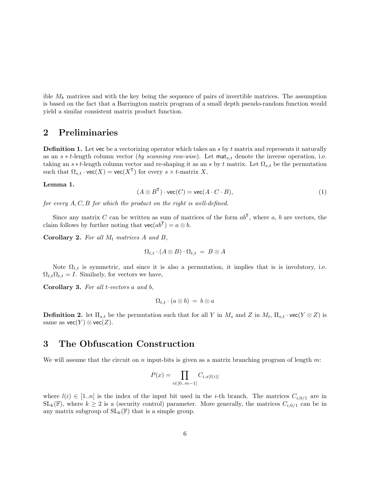ible  $M_k$  matrices and with the key being the sequence of pairs of invertible matrices. The assumption is based on the fact that a Barrington matrix program of a small depth pseudo-random function would yield a similar consistent matrix product function.

# <span id="page-5-0"></span>2 Preliminaries

**Definition 1.** Let vec be a vectorizing operator which takes an s by t matrix and represents it naturally as an s ∗ t-length column vector (by scanning row-wise). Let  $\text{mat}_{s,t}$  denote the inverse operation, i.e. taking an  $s * t$ -length column vector and re-shaping it as an s by t matrix. Let  $\Omega_{s,t}$  be the permutation such that  $\Omega_{s,t} \cdot \text{vec}(X) = \text{vec}(X^{\mathsf{T}})$  for every  $s \times t$ -matrix X.

#### <span id="page-5-2"></span>Lemma 1.

$$
(A \otimes B^{T}) \cdot \text{vec}(C) = \text{vec}(A \cdot C \cdot B), \tag{1}
$$

for every A, C, B for which the product on the right is well-defined.

Since any matrix C can be written as sum of matrices of the form  $ab^T$ , where a, b are vectors, the claim follows by further noting that  $\text{vec}(ab^{\mathsf{T}}) = a \otimes b$ .

Corollary 2. For all  $M_t$  matrices  $A$  and  $B$ ,

$$
\Omega_{t,t} \cdot (A \otimes B) \cdot \Omega_{t,t} = B \otimes A
$$

Note  $\Omega_{t,t}$  is symmetric, and since it is also a permutation, it implies that is is involutory, i.e.  $\Omega_{t,t}\Omega_{t,t} = I$ . Similarly, for vectors we have,

<span id="page-5-3"></span>Corollary 3. For all t-vectors a and b,

$$
\Omega_{t,t} \cdot (a \otimes b) = b \otimes a
$$

**Definition 2.** let  $\Pi_{s,t}$  be the permutation such that for all Y in  $M_s$  and Z in  $M_t$ ,  $\Pi_{s,t} \cdot \text{vec}(Y \otimes Z)$  is same as  $\text{vec}(Y) \otimes \text{vec}(Z)$ .

# <span id="page-5-1"></span>3 The Obfuscation Construction

We will assume that the circuit on n input-bits is given as a matrix branching program of length  $m$ :

$$
P(x) = \prod_{i \in [0...m-1]} C_{i,x[l(i)]}
$$

where  $l(i) \in [1..n]$  is the index of the input bit used in the *i*-th branch. The matrices  $C_{i,0/1}$  are in  $SL_k(\mathbb{F})$ , where  $k \geq 2$  is a (security control) parameter. More generally, the matrices  $C_{i,0/1}$  can be in any matrix subgroup of  $SL_k(\mathbb{F})$  that is a simple group.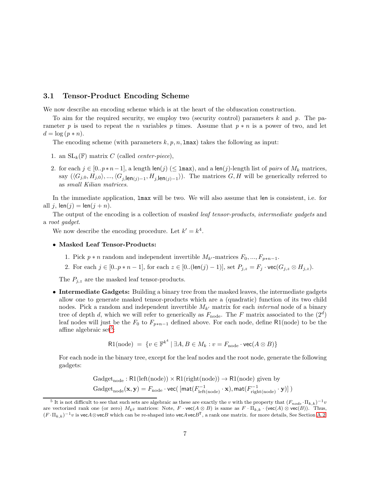### <span id="page-6-0"></span>3.1 Tensor-Product Encoding Scheme

We now describe an encoding scheme which is at the heart of the obfuscation construction.

To aim for the required security, we employ two (security control) parameters  $k$  and  $p$ . The parameter p is used to repeat the n variables p times. Assume that  $p * n$  is a power of two, and let  $d = \log (p * n).$ 

The encoding scheme (with parameters  $k, p, n, \text{Imax}$ ) takes the following as input:

- 1. an  $SL_k(\mathbb{F})$  matrix C (called *center-piece*),
- 2. for each  $j \in [0..p*n-1]$ , a length  $\text{len}(j)$  ( $\leq \text{Imax}$ ), and a  $\text{len}(j)$ -length list of pairs of  $M_k$  matrices, say  $(\langle G_{j,0}, H_{j,0}\rangle, ..., \langle G_{j,len(j)-1}, H_{j,len(j)-1}\rangle)$ . The matrices  $G, H$  will be generically referred to as small Kilian matrices.

In the immediate application, lmax will be two. We will also assume that len is consistent, i.e. for all j,  $len(j) = len(j + n)$ .

The output of the encoding is a collection of masked leaf tensor-products, intermediate gadgets and a root gadget.

We now describe the encoding procedure. Let  $k' = k^4$ .

#### • Masked Leaf Tensor-Products:

- 1. Pick  $p * n$  random and independent invertible  $M_{k'}$ -matrices  $F_0, ..., F_{p*n-1}$ .
- 2. For each  $j \in [0..p*n-1]$ , for each  $z \in [0..(\text{len}(j)-1)]$ , set  $P_{j,z} = F_j \cdot \text{vec}(G_{j,z} \otimes H_{j,z})$ .

The  $P_{j,z}$  are the masked leaf tensor-products.

• Intermediate Gadgets: Building a binary tree from the masked leaves, the intermediate gadgets allow one to generate masked tensor-products which are a (quadratic) function of its two child nodes. Pick a random and independent invertible  $M_{k'}$  matrix for each *internal* node of a binary tree of depth d, which we will refer to generically as  $F_{\text{node}}$ . The F matrix associated to the  $(2^d)$ leaf nodes will just be the  $F_0$  to  $F_{p*n-1}$  defined above. For each node, define R1(node) to be the affine algebraic set<sup>[5](#page-6-1)</sup>:

$$
\mathsf{R1}(\text{node}) = \{ v \in \mathbb{F}^{k^4} \mid \exists A, B \in M_k : v = F_{\text{node}} \cdot \text{vec}(A \otimes B) \}
$$

For each node in the binary tree, except for the leaf nodes and the root node, generate the following gadgets:

$$
Gadget_{node}: R1(left(node)) \times R1(right(node)) \rightarrow R1(node) \text{ given by}
$$
  

$$
Gadget_{node}(\mathbf{x}, \mathbf{y}) = F_{node} \cdot \text{vec}(\left[ \text{mat}(F_{left(node)}^{-1} \cdot \mathbf{x}), \text{mat}(F_{right(node)}^{-1} \cdot \mathbf{y}) \right])
$$

<span id="page-6-1"></span><sup>&</sup>lt;sup>5</sup> It is not difficult to see that such sets are algebraic as these are exactly the v with the property that  $(F_{node} \cdot \Pi_{k,k})^{-1}v$ are vectorized rank one (or zero)  $M_{k^2}$  matrices: Note,  $F \cdot \text{vec}(A \otimes B)$  is same as  $F \cdot \Pi_{k,k} \cdot (\text{vec}(A) \otimes \text{vec}(B))$ . Thus,  $(F \cdot \Pi_{k,k})^{-1}v$  is vec $A \otimes$ vec $B$  which can be re-shaped into vec $A$ vec $B^T$ , a rank one matrix. for more details, See Section [A.2.](#page-32-0)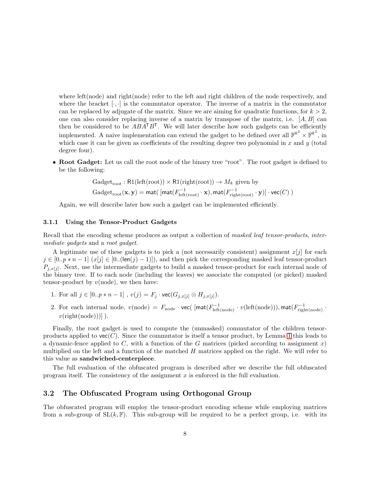where left(node) and right(node) refer to the left and right children of the node respectively, and where the bracket  $[\cdot, \cdot]$  is the commutator operator. The inverse of a matrix in the commutator can be replaced by adjugate of the matrix. Since we are aiming for quadratic functions, for  $k > 2$ , one can also consider replacing inverse of a matrix by transpose of the matrix, i.e.  $[A, B]$  can then be considered to be  $ABA^{\mathsf{T}}B^{\mathsf{T}}$ . We will later describe how such gadgets can be efficiently implemented. A naive implementation can extend the gadget to be defined over all  $\mathbb{F}^{k^2} \times \mathbb{F}^{k^2}$ , in which case it can be given as coefficients of the resulting degree two polynomial in x and  $y$  (total degree four).

• Root Gadget: Let us call the root node of the binary tree "root". The root gadget is defined to be the following:

$$
Gadget_{root}: \mathsf{R1}(\mathrm{left(root)}) \times \mathsf{R1}(\mathrm{right(root)}) \rightarrow M_k \text{ given by}
$$
  

$$
Gadget_{root}(\mathbf{x}, \mathbf{y}) = \mathsf{mat}(\left[\mathsf{mat}(F_{\mathrm{left(root)}}^{-1} \cdot \mathbf{x}), \mathsf{mat}(F_{\mathrm{right(root}}^{-1} \cdot \mathbf{y})\right] \cdot \mathsf{vec}(C))
$$

Again, we will describe later how such a gadget can be implemented efficiently.

#### <span id="page-7-1"></span>3.1.1 Using the Tensor-Product Gadgets

Recall that the encoding scheme produces as output a collection of masked leaf tensor-products, intermediate gadgets and a root gadget.

A legitimate use of these gadgets is to pick a (not necessarily consistent) assignment  $x[j]$  for each  $j \in [0..p*n-1]$   $(x[j] \in [0..(len(j)-1)])$ , and then pick the corresponding masked leaf tensor-product  $P_{j,x[j]}$ . Next, use the intermediate gadgets to build a masked tensor-product for each internal node of the binary tree. If to each node (including the leaves) we associate the computed (or picked) masked tensor-product by  $v(\text{node})$ , we then have:

- 1. For all  $j \in [0..p*n-1]$ ,  $v(j) = F_j \cdot \text{vec}(G_{j,x[j]} \otimes H_{j,x[j]}).$
- 2. For each internal node,  $v(\text{node}) = F_{\text{node}} \cdot \text{vec}(\text{[mat}(F_{\text{left(node})}^{-1} \cdot v(\text{left(node}))), \text{mat}(F_{\text{right(node}}^{-1} \cdot v(\text{left(node}))),$  $v(\text{right}(\text{node}))$ ).

Finally, the root gadget is used to compute the (unmasked) commutator of the children tensorproducts applied to  $\text{vec}(C)$ . Since the commutator is itself a tensor product, by Lemma [1](#page-5-2) this leads to a dynamic-fence applied to C, with a function of the G matrices (picked according to assignment x) multiplied on the left and a function of the matched H matrices applied on the right. We will refer to this value as sandwiched-centerpiece.

The full evaluation of the obfuscated program is described after we describe the full obfuscated program itself. The consistency of the assignment  $x$  is enforced in the full evaluation.

## <span id="page-7-0"></span>3.2 The Obfuscated Program using Orthogonal Group

The obfuscated program will employ the tensor-product encoding scheme while employing matrices from a sub-group of  $SL(k, \mathbb{F})$ . This sub-group will be required to be a perfect group, i.e. with its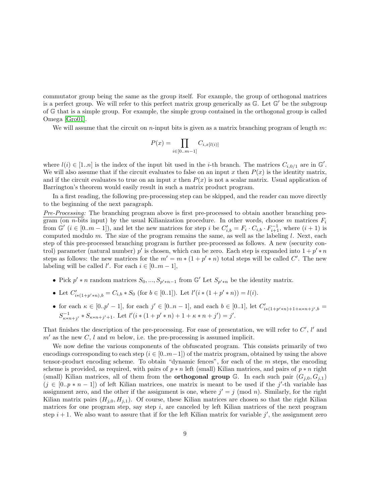commutator group being the same as the group itself. For example, the group of orthogonal matrices is a perfect group. We will refer to this perfect matrix group generically as  $\mathbb{G}$ . Let  $\mathbb{G}'$  be the subgroup of G that is a simple group. For example, the simple group contained in the orthogonal group is called Omega [\[Gro01\]](#page-29-6).

We will assume that the circuit on *n*-input bits is given as a matrix branching program of length  $m$ :

$$
P(x) = \prod_{i \in [0...m-1]} C_{i,x[l(i)]}
$$

where  $l(i) \in [1..n]$  is the index of the input bit used in the *i*-th branch. The matrices  $C_{i,0/1}$  are in  $\mathbb{G}'$ . We will also assume that if the circuit evaluates to false on an input x then  $P(x)$  is the identity matrix, and if the circuit evaluates to true on an input x then  $P(x)$  is not a scalar matrix. Usual application of Barrington's theorem would easily result in such a matrix product program.

In a first reading, the following pre-processing step can be skipped, and the reader can move directly to the beginning of the next paragraph.

Pre-Processing: The branching program above is first pre-processed to obtain another branching program (on *n*-bits input) by the usual Kilianization procedure. In other words, choose m matrices  $F_i$ from  $\mathbb{G}'$   $(i \in [0..m-1])$ , and let the new matrices for step i be  $C'_{i,b} = F_i \cdot C_{i,b} \cdot F_{i+1}^{-1}$ , where  $(i+1)$  is computed modulo m. The size of the program remains the same, as well as the labeling  $l$ . Next, each step of this pre-processed branching program is further pre-processed as follows. A new (security control) parameter (natural number)  $p'$  is chosen, which can be zero. Each step is expanded into  $1 + p' * n$ steps as follows: the new matrices for the  $m' = m * (1 + p' * n)$  total steps will be called C'. The new labeling will be called  $l'$ . For each  $i \in [0..m-1]$ ,

- Pick  $p' * n$  random matrices  $S_0, ..., S_{p'*n-1}$  from  $\mathbb{G}'$  Let  $S_{p'*n}$  be the identity matrix.
- Let  $C'_{i*(1+p'*n),b} = C_{i,b} * S_0$  (for  $b \in [0..1]$ ). Let  $l'(i*(1+p'*n)) = l(i)$ .
- for each  $\kappa \in [0..p'-1]$ , for each  $j' \in [0..n-1]$ , and each  $b \in [0..1]$ , let  $C'_{i*(1+p'*n)+1+\kappa*n+j',b}$  $S_{\kappa*n+j'}^{-1} * S_{\kappa*n+j'+1}$ . Let  $l'(i*(1+p'*n)+1+\kappa*n+j')=j'.$

That finishes the description of the pre-processing. For ease of presentation, we will refer to  $C'$ ,  $l'$  and  $m'$  as the new C, l and m below, i.e. the pre-processing is assumed implicit.

We now define the various components of the obfuscated program. This consists primarily of two encodings corresponding to each step  $(i \in [0..m-1])$  of the matrix program, obtained by using the above tensor-product encoding scheme. To obtain "dynamic fences", for each of the m steps, the encoding scheme is provided, as required, with pairs of  $p * n$  left (small) Kilian matrices, and pairs of  $p * n$  right (small) Kilian matrices, all of them from the **orthogonal group**  $\mathbb{G}$ . In each such pair  $(G_{j,0}, G_{j,1})$  $(j \in [0..p*n-1])$  of left Kilian matrices, one matrix is meant to be used if the j'-th variable has assignment zero, and the other if the assignment is one, where  $j' = j \pmod{n}$ . Similarly, for the right Kilian matrix pairs  $(H_{j,0}, H_{j,1})$ . Of course, these Kilian matrices are chosen so that the right Kilian matrices for one program step, say step  $i$ , are canceled by left Kilian matrices of the next program step  $i + 1$ . We also want to assure that if for the left Kilian matrix for variable  $j'$ , the assignment zero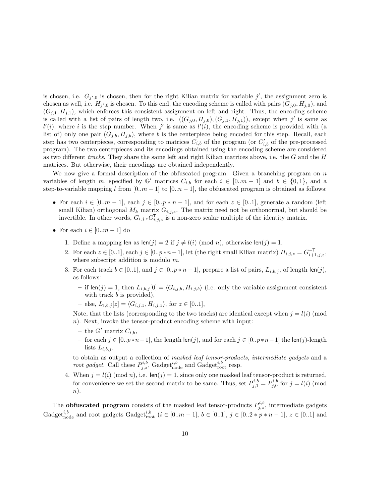is chosen, i.e.  $G_{j',0}$  is chosen, then for the right Kilian matrix for variable j', the assignment zero is chosen as well, i.e.  $H_{j',0}$  is chosen. To this end, the encoding scheme is called with pairs  $(G_{j,0}, H_{j,0})$ , and  $(G_{j,1}, H_{j,1})$ , which enforces this consistent assignment on left and right. Thus, the encoding scheme is called with a list of pairs of length two, i.e.  $((G_{j,0}, H_{j,0}), (G_{j,1}, H_{j,1}))$ , except when j' is same as  $l'(i)$ , where i is the step number. When j' is same as  $l'(i)$ , the encoding scheme is provided with (a list of) only one pair  $(G_{j,b}, H_{j,b})$ , where b is the centerpiece being encoded for this step. Recall, each step has two centerpieces, corresponding to matrices  $C_{i,b}$  of the program (or  $C'_{i,b}$  of the pre-processed program). The two centerpieces and its encodings obtained using the encoding scheme are considered as two different tracks. They share the same left and right Kilian matrices above, i.e. the G and the H matrices. But otherwise, their encodings are obtained independently.

We now give a formal description of the obfuscated program. Given a branching program on  $n$ variables of length m, specified by  $\mathbb{G}'$  matrices  $C_{i,b}$  for each  $i \in [0..m-1]$  and  $b \in \{0,1\}$ , and a step-to-variable mapping l from  $[0..m-1]$  to  $[0..n-1]$ , the obfuscated program is obtained as follows:

- For each  $i \in [0..m-1]$ , each  $j \in [0..p*n-1]$ , and for each  $z \in [0..1]$ , generate a random (left small Kilian) orthogonal  $M_k$  matrix  $G_{i,j,z}$ . The matrix need not be orthonormal, but should be invertible. In other words,  $G_{i,j,z} G_{i,j,z}^T$  is a non-zero scalar multiple of the identity matrix.
- For each  $i \in [0..m-1]$  do
	- 1. Define a mapping len as  $len(j) = 2$  if  $j \neq l(i) \pmod{n}$ , otherwise len $(j) = 1$ .
	- 2. For each  $z \in [0..1]$ , each  $j \in [0..p*n-1]$ , let (the right small Kilian matrix)  $H_{i,j,z} = G_{i+1,j,z}^{-\mathsf{T}}$ , where subscript addition is modulo m.
	- 3. For each track  $b \in [0..1]$ , and  $j \in [0..p*n-1]$ , prepare a list of pairs,  $L_{i,b,j}$ , of length len(j), as follows:
		- if  $\text{len}(j) = 1$ , then  $L_{i,b,j}[0] = \langle G_{i,j,b}, H_{i,j,b} \rangle$  (i.e. only the variable assignment consistent with track  $b$  is provided),
		- $-$  else,  $L_{i,b,j}[z] = \langle G_{i,j,z}, H_{i,j,z} \rangle$ , for  $z \in [0..1],$

Note, that the lists (corresponding to the two tracks) are identical except when  $j = l(i)$  (mod n). Next, invoke the tensor-product encoding scheme with input:

- the  $\mathbb{G}'$  matrix  $C_{i,b}$ ,
- for each  $j \in [0..p*n-1]$ , the length len(j), and for each  $j \in [0..p*n-1]$  the len(j)-length lists  $L_{i,b,j}$ .

to obtain as output a collection of masked leaf tensor-products, intermediate gadgets and a root gadget. Call these  $P_{j,z}^{i,b}$ , Gadget $_{\text{node}}^{i,b}$  and Gadget $_{\text{root}}^{i,b}$  resp.

4. When  $j = l(i) \pmod{n}$ , i.e. len(j) = 1, since only one masked leaf tensor-product is returned, for convenience we set the second matrix to be same. Thus, set  $P_{j,1}^{i,b} = P_{j,0}^{i,b}$  for  $j = l(i)$  (mod n).

The **obfuscated program** consists of the masked leaf tensor-products  $P_{j,z}^{i,b}$ , intermediate gadgets Gadget<sup>*i*,b</sup><sub>node</sub> and root gadgets Gadget<sup>*i*,b</sup><sub>root</sub> ( $i \in [0..m-1]$ ,  $b \in [0..1]$ ,  $j \in [0..2*p*n-1]$ ,  $z \in [0..1]$  and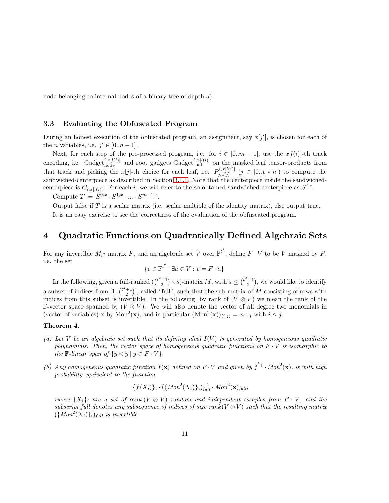node belonging to internal nodes of a binary tree of depth d).

## <span id="page-10-0"></span>3.3 Evaluating the Obfuscated Program

During an honest execution of the obfuscated program, an assignment, say  $x[j']$ , is chosen for each of the *n* variables, i.e.  $j' \in [0..n-1]$ .

Next, for each step of the pre-processed program, i.e. for  $i \in [0..m-1]$ , use the  $x[l(i)]$ -th track encoding, i.e. Gadget<sup>i,x[l(i)</sup>] and root gadgets Gadget<sub>root</sub> on the masked leaf tensor-products from that track and picking the  $x[j]$ -th choice for each leaf, i.e.  $P_{i,r[i]}^{i,x[l(i)]}$  $j, x_{j}[i](i) \ (j \in [0..p*n])$  to compute the sandwiched-centerpiece as described in Section [3.1.1.](#page-7-1) Note that the centerpiece inside the sandwichedcenterpiece is  $C_{i,x[l(i)]}$ . For each i, we will refer to the so obtained sandwiched-centerpiece as  $S^{i,x}$ .

Compute  $T = S^{0,x} \cdot S^{1,x} \cdot \ldots \cdot S^{m-1,x}$ .

Output false if  $T$  is a scalar matrix (i.e. scalar multiple of the identity matrix), else output true.

It is an easy exercise to see the correctness of the evaluation of the obfuscated program.

# <span id="page-10-1"></span>4 Quadratic Functions on Quadratically Defined Algebraic Sets

For any invertible  $M_{t^2}$  matrix F, and an algebraic set V over  $\mathbb{F}^{t^2}$ , define  $F \cdot V$  to be V masked by F, i.e. the set

$$
\{v \in \mathbb{F}^{t^2} \mid \exists a \in V : v = F \cdot a\}.
$$

In the following, given a full-ranked  $\left(\binom{t^2+1}{2} \times s\right)$ -matrix M, with  $s \leq \binom{t^2+1}{2}$ , we would like to identify a subset of indices from  $[1..\binom{t^2+1}{2}]$ , called "full", such that the sub-matrix of M consisting of rows with indices from this subset is invertible. In the following, by rank of  $(V \otimes V)$  we mean the rank of the F-vector space spanned by  $(V \otimes V)$ . We will also denote the vector of all degree two monomials in (vector of variables) **x** by Mon<sup>2</sup>(**x**), and in particular  $(\text{Mon}^2(\mathbf{x}))_{\langle i,j \rangle} = x_i x_j$  with  $i \leq j$ .

## <span id="page-10-2"></span>Theorem 4.

- (a) Let V be an algebraic set such that its defining ideal  $I(V)$  is generated by homogeneous quadratic polynomials. Then, the vector space of homogeneous quadratic functions on  $F \cdot V$  is isomorphic to the F-linear span of  $\{y \otimes y \mid y \in F \cdot V\}.$
- (b) Any homogeneous quadratic function  $f(\mathbf{x})$  defined on  $F \cdot V$  and given by  $\vec{f}^T \cdot Mon^2(\mathbf{x})$ , is with high probability equivalent to the function

$$
\{f(X_i)\}_i \cdot (\{Mon^2(X_i)\}_i)_{full}^{-1} \cdot Mon^2(\mathbf{x})_{full},
$$

where  $\{X_i\}_i$  are a set of rank  $(V \otimes V)$  random and independent samples from  $F \cdot V$ , and the subscript full denotes any subsequence of indices of size rank  $(V \otimes V)$  such that the resulting matrix  $({\lbrace Mon^2(X_i)\rbrace})_{full}$  is invertible.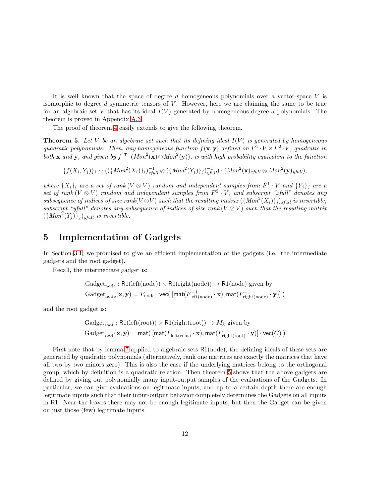It is well known that the space of degree  $d$  homogeneous polynomials over a vector-space  $V$  is isomorphic to degree  $d$  symmetric tensors of  $V$ . However, here we are claiming the same to be true for an algebraic set V that has its ideal  $I(V)$  generated by homogeneous degree d polynomials. The theorem is proved in Appendix [A.3.](#page-33-0)

The proof of theorem [4](#page-10-2) easily extends to give the following theorem.

<span id="page-11-1"></span>**Theorem 5.** Let V be an algebraic set such that its defining ideal  $I(V)$  is generated by homogeneous quadratic polynomials. Then, any homogeneous function  $f(\mathbf{x}, \mathbf{y})$  defined on  $F^1 \cdot V \times F^2 \cdot V$ , quadratic in both **x** and **y**, and given by  $\vec{f}^T \cdot (Mon^2(\mathbf{x}) \otimes Mon^2(\mathbf{y}))$ , is with high probability equivalent to the function

 ${f(X_i,Y_j)}_{i,j} \cdot (({Mon^2(X_i)}_i)_{xfull}^{-1} \otimes ({Mon^2(Y_j)}_j)_{yfull}^{-1}) \cdot (Mon^2(\mathbf{x})_{xfull} \otimes Mon^2(\mathbf{y})_{yfull}),$ 

where  $\{X_i\}_i$  are a set of rank  $(V \otimes V)$  random and independent samples from  $F^1 \cdot V$  and  $\{Y_j\}_j$  are a set of rank  $(V \otimes V)$  random and independent samples from  $F^2 \cdot V$ , and subscript "xfull" denotes any subsequence of indices of size rank( $V \otimes V$ ) such that the resulting matrix  $({Mon^2(X_i)}_i)_{i \text{full}}$  is invertible, subscript "yfull" denotes any subsequence of indices of size rank  $(V \otimes V)$  such that the resulting matrix  $({Mon<sup>2</sup>(Y<sub>j</sub>)}<sub>j</sub>)<sub>ytull</sub>$  is invertible.

# <span id="page-11-0"></span>5 Implementation of Gadgets

In Section [3.1,](#page-6-0) we promised to give an efficient implementation of the gadgets (i.e. the intermediate gadgets and the root gadget).

Recall, the intermediate gadget is:

$$
Gadget_{node}: R1(left(node)) \times R1(right(node)) \rightarrow R1(node) \text{ given by}
$$
  

$$
Gadget_{node}(\mathbf{x}, \mathbf{y}) = F_{node} \cdot vec([mat(F_{left(node)}^{-1} \cdot \mathbf{x}), mat(F_{right(node)}^{-1} \cdot \mathbf{y})])
$$

and the root gadget is:

$$
Gadget_{root}: \mathsf{R1}(\mathrm{left(root)}) \times \mathsf{R1}(\mathrm{right(root)}) \rightarrow M_k \text{ given by}
$$
  

$$
Gadget_{root}(\mathbf{x}, \mathbf{y}) = \mathsf{mat}(\left[\mathsf{mat}(F_{\mathrm{left(root)}}^{-1} \cdot \mathbf{x}), \mathsf{mat}(F_{\mathrm{right(root}}^{-1} \cdot \mathbf{y})\right] \cdot \mathsf{vec}(C))
$$

First note that by lemma [7](#page-32-1) applied to algebraic sets R1(node), the defining ideals of these sets are generated by quadratic polynomials (alternatively, rank one matrices are exactly the matrices that have all two by two minors zero). This is also the case if the underlying matrices belong to the orthogonal group, which by definition is a quadratic relation. Then theorem [5](#page-11-1) shows that the above gadgets are defined by giving out polynomially many input-output samples of the evaluations of the Gadgets. In particular, we can give evaluations on legitimate inputs, and up to a certain depth there are enough legitimate inputs such that their input-output behavior completely determines the Gadgets on all inputs in R1. Near the leaves there may not be enough legitimate inputs, but then the Gadget can be given on just those (few) legitimate inputs.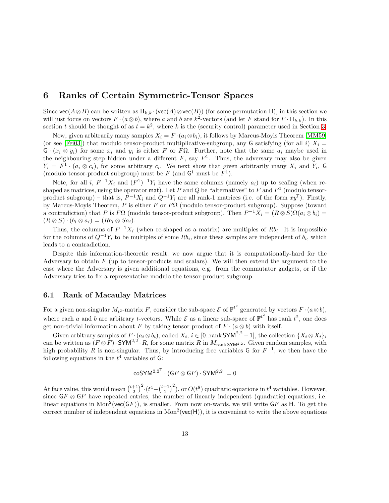## <span id="page-12-0"></span>6 Ranks of Certain Symmetric-Tensor Spaces

Since  $\text{vec}(A\otimes B)$  can be written as  $\Pi_{k,k} \cdot (\text{vec}(A) \otimes \text{vec}(B))$  (for some permutation  $\Pi$ ), in this section we will just focus on vectors  $F \cdot (a \otimes b)$ , where a and b are  $k^2$ -vectors (and let F stand for  $F \cdot \Pi_{k,k}$ ). In this section t should be thought of as  $t = k^2$ , where k is the (security control) parameter used in Section [3.](#page-5-1)

Now, given arbitrarily many samples  $X_i = F \cdot (a_i \otimes b_i)$ , it follows by Marcus-Moyls Theorem [\[MM59\]](#page-30-3) (or see [\[Fei03\]](#page-29-7)) that modulo tensor-product multiplicative-subgroup, any G satisfying (for all i)  $X_i =$  $G \cdot (x_i \otimes y_i)$  for some  $x_i$  and  $y_i$  is either F or F $\Omega$ . Further, note that the same  $a_i$  maybe used in the neighbouring step hidden under a different  $F$ , say  $F<sup>1</sup>$ . Thus, the adversary may also be given  $Y_i = F^1 \cdot (a_i \otimes c_i)$ , for some arbitrary  $c_i$ . We next show that given arbitrarily many  $X_i$  and  $Y_i$ , G (modulo tensor-product subgroup) must be  $F$  (and  $G^1$  must be  $F^1$ ).

Note, for all i,  $F^{-1}X_i$  and  $(F^1)^{-1}Y_i$  have the same columns (namely  $a_i$ ) up to scaling (when reshaped as matrices, using the operator mat). Let P and Q be "alternatives" to F and  $F<sup>1</sup>$  (modulo tensorproduct subgroup) – that is,  $P^{-1}X_i$  and  $Q^{-1}Y_i$  are all rank-1 matrices (i.e. of the form  $xy^{\mathsf{T}}$ ). Firstly, by Marcus-Moyls Theorem, P is either F or  $F\Omega$  (modulo tensor-product subgroup). Suppose (toward a contradiction) that P is  $F\Omega$  (modulo tensor-product subgroup). Then  $P^{-1}X_i = (R \otimes S)\Omega(a_i \otimes b_i) =$  $(R \otimes S) \cdot (b_i \otimes a_i) = (Rb_i \otimes Sa_i).$ 

Thus, the columns of  $P^{-1}X_i$  (when re-shaped as a matrix) are multiples of  $Rb_i$ . It is impossible for the columns of  $Q^{-1}Y_i$  to be multiples of some  $Rb_i$ , since these samples are independent of  $b_i$ , which leads to a contradiction.

Despite this information-theoretic result, we now argue that it is computationally-hard for the Adversary to obtain  $F$  (up to tensor-products and scalars). We will then extend the argument to the case where the Adversary is given additional equations, e.g. from the commutator gadgets, or if the Adversary tries to fix a representative modulo the tensor-product subgroup.

## <span id="page-12-1"></span>6.1 Rank of Macaulay Matrices

For a given non-singular  $M_{t^2}$ -matrix F, consider the sub-space  $\mathcal E$  of  $\mathbb{F}^{t^2}$  generated by vectors  $F \cdot (a \otimes b)$ , where each a and b are arbitrary t-vectors. While  $\mathcal E$  as a linear sub-space of  $\mathbb F^{t^2}$  has rank  $t^2$ , one does get non-trivial information about F by taking tensor product of  $F \cdot (a \otimes b)$  with itself.

Given arbitrary samples of  $F \cdot (a_i \otimes b_i)$ , called  $X_i$ ,  $i \in [0..\text{rank}\text{SYM}^{2,2} - 1]$ , the collection  $\{X_i \otimes X_i\}_i$ can be written as  $(F \otimes F) \cdot SYM^{2,2} \cdot R$ , for some matrix R in  $M_{\text{rank }SYM^{2,2}}$ . Given random samples, with high probability R is non-singular. Thus, by introducing free variables G for  $F^{-1}$ , we then have the following equations in the  $t^4$  variables of G:

$$
\mathsf{coSYM}^{2,2^{\mathsf{T}}}\cdot(\mathsf{G} F\otimes \mathsf{G} F)\cdot \mathsf{SYM}^{2,2}\ =0
$$

At face value, this would mean  $\binom{t+1}{2}^2 \cdot (t^4 - \binom{t+1}{2}^2)$ , or  $O(t^8)$  quadratic equations in  $t^4$  variables. However, since  $\mathsf{G} F \otimes \mathsf{G} F$  have repeated entries, the number of linearly independent (quadratic) equations, i.e. linear equations in  $Mon^2(vec(GF))$ , is smaller. From now on-wards, we will write GF as H. To get the correct number of independent equations in  $Mon^2(vec(H))$ , it is convenient to write the above equations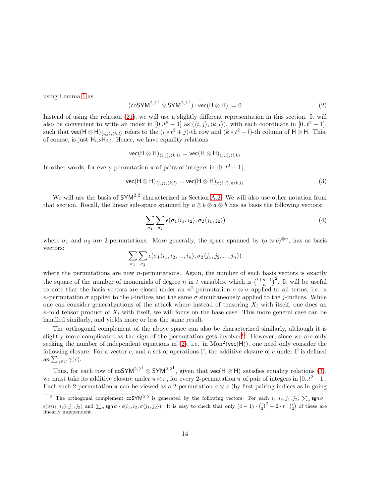using Lemma [1](#page-5-2) as

<span id="page-13-1"></span>
$$
(\cos Y M^{2,2^{\mathsf{T}}} \otimes \text{SYM}^{2,2^{\mathsf{T}}}) \cdot \text{vec}(H \otimes H) = 0 \tag{2}
$$

Instead of using the relation [\(21\)](#page-32-2), we will use a slightly different representation in this section. It will also be convenient to write an index in  $[0..t^8 - 1]$  as  $(\langle i, j \rangle, \langle k, l \rangle)$ , with each coordinate in  $[0..t^2 - 1]$ , such that  $\text{vec}(H \otimes H)_{\langle i,j \rangle,\langle k,l \rangle}$  refers to the  $(i * t^2 + j)$ -th row and  $(k * t^2 + l)$ -th column of  $H \otimes H$ . This, of course, is just  $H_{i,k}H_{j,l}$ . Hence, we have equality relations

$$
\mathsf{vec}(\mathsf{H}\otimes \mathsf{H})_{\langle i,j\rangle,\langle k,l\rangle}=\mathsf{vec}(\mathsf{H}\otimes \mathsf{H})_{\langle j,i\rangle,\langle l,k\rangle}
$$

In other words, for every permutation  $\pi$  of pairs of integers in [0..t<sup>2</sup> – 1],

<span id="page-13-2"></span>
$$
\text{vec}(H \otimes H)_{\langle i,j \rangle, \langle k,l \rangle} = \text{vec}(H \otimes H)_{\pi \langle i,j \rangle, \pi \langle k,l \rangle}
$$
(3)

We will use the basis of  $\mathsf{SYM}^{2,2}$  characterized in Section [A.2.](#page-32-0) We will also use other notation from that section. Recall, the linear sub-space spanned by  $a \otimes b \otimes a \otimes b$  has as basis the following vectors:

$$
\sum_{\sigma_1} \sum_{\sigma_2} \epsilon(\sigma_1 \langle i_1, i_2 \rangle, \sigma_2 \langle j_1, j_2 \rangle) \tag{4}
$$

where  $\sigma_1$  and  $\sigma_2$  are 2-permutations. More generally, the space spanned by  $(a \otimes b)^{\otimes n}$ , has as basis vectors:

$$
\sum_{\sigma_1}\sum_{\sigma_2}\epsilon(\sigma_1\langle i_1,i_2,...,i_n\rangle,\sigma_2\langle j_1,j_2,...,j_n\rangle)
$$

where the permutations are now  $n$ -permutations. Again, the number of such basis vectors is exactly the square of the number of monomials of degree n in t variables, which is  $\binom{t+n-1}{n}^2$ . It will be useful to note that the basis vectors are closed under an  $n^2$ -permutation  $\sigma \otimes \sigma$  applied to all terms, i.e. a n-permutation  $\sigma$  applied to the *i*-indices and the same  $\sigma$  simultaneously applied to the *j*-indices. While one can consider generalizations of the attack where instead of tensoring  $X_i$  with itself, one does an  $n$ -fold tensor product of  $X_i$  with itself, we will focus on the base case. This more general case can be handled similarly, and yields more or less the same result.

The orthogonal complement of the above space can also be characterized similarly, although it is slightly more complicated as the sign of the permutation gets involved<sup>[6](#page-13-0)</sup>. However, since we are only seeking the number of independent equations in  $(2)$ , i.e. in Mon<sup>2</sup>( $vec(H)$ ), one need only consider the following closure. For a vector c, and a set of operations Γ, the additive closure of c under Γ is defined as  $\sum_{\gamma \in \Gamma} \gamma(c)$ .

Thus, for each row of  $\cos Y M^{2,2^T} \otimes SY M^{2,2^T}$ , given that  $\sec(H \otimes H)$  satisfies equality relations [\(3\)](#page-13-2), we must take its additive closure under  $\pi \otimes \pi$ , for every 2-permutation  $\pi$  of pair of integers in [0..t<sup>2</sup> – 1]. Each such 2-permutation  $\pi$  can be viewed as a 2-permutation  $\sigma \otimes \sigma$  (by first pairing indices as in going

<span id="page-13-0"></span><sup>&</sup>lt;sup>6</sup> The orthogonal complement coSYM<sup>2,2</sup> is generated by the following vectors: For each  $i_1, i_2, j_1, j_2, \sum_{\sigma}$ sgn $\sigma$ .  $\epsilon(\sigma\langle i_1,i_2\rangle,j_1,j_2)$  and  $\sum_{\sigma}$  sgn  $\sigma \cdot \epsilon(i_1,i_2,\sigma\langle j_1,j_2\rangle)$ . It is easy to check that only  $(4-1)\cdot {t \choose 2}^2 + 2\cdot t\cdot {t \choose 2}$  of these are linearly independent.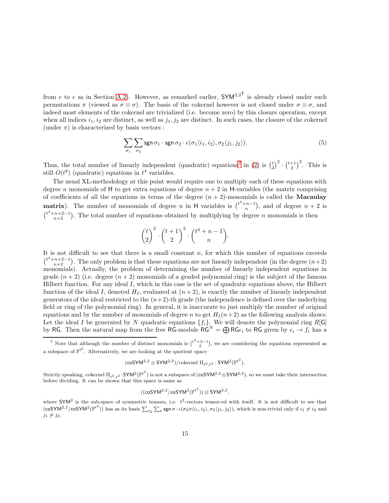from e to  $\epsilon$  as in Section [A.2\)](#page-32-0). However, as remarked earlier,  $\mathsf{SYM}^{2,2^{\mathsf{T}}}$  is already closed under such permutations  $\pi$  (viewed as  $\sigma \otimes \sigma$ ). The basis of the cokernel however is not closed under  $\sigma \otimes \sigma$ , and indeed most elements of the cokernel are trivialized (i.e. become zero) by this closure operation, except when all indices  $i_1, i_2$  are distinct, as well as  $j_1, j_2$  are distinct. In such cases, the closure of the cokernel (under  $\pi$ ) is characterized by basis vectors :

<span id="page-14-1"></span>
$$
\sum_{\sigma_1} \sum_{\sigma_2} \operatorname{sgn} \sigma_1 \cdot \operatorname{sgn} \sigma_2 \cdot \epsilon(\sigma_1 \langle i_1, i_2 \rangle, \sigma_2 \langle j_1, j_2 \rangle). \tag{5}
$$

Thus, the total number of linearly independent (quadratic) equations<sup>[7](#page-14-0)</sup> in [\(2\)](#page-13-1) is  $\binom{t}{2}^2 \cdot \binom{t+1}{2}^2$ . This is still  $O(t^8)$  (quadratic) equations in  $t^4$  variables.

The usual XL-methodology at this point would require one to multiply each of these equations with degree n monomials of H to get extra equations of degree  $n + 2$  in H-variables (the matrix comprising of coefficients of all the equations in terms of the degree  $(n + 2)$ -monomials is called the **Macaulay matrix**). The number of monomials of degree n in H variables is  $\binom{t^4+n-1}{n}$ , and of degree  $n+2$  is  $\binom{t^4+n+2-1}{n+2}$ . The total number of equations obtained by multiplying by degree n monomials is then

$$
\binom{t}{2}^2 \cdot \binom{t+1}{2}^2 \cdot \binom{t^4+n-1}{n}.
$$

It is not difficult to see that there is a small constant  $n$ , for which this number of equations exceeds  $\binom{t^4+n+2-1}{n+2}$ . The only problem is that these equations are not linearly independent (in the degree  $(n+2)$ ) monomials). Actually, the problem of determining the number of linearly independent equations in grade  $(n+2)$  (i.e. degree  $(n+2)$  monomials of a graded polynomial ring) is the subject of the famous Hilbert function. For any ideal I, which in this case is the set of quadratic equations above, the Hilbert function of the ideal I, denoted  $H<sub>I</sub>$ , evaluated at  $(n+2)$ , is exactly the number of linearly independent generators of the ideal restricted to the  $(n+2)$ -th grade (the independence is defined over the underlying field or ring of the polynomial ring). In general, it is inaccurate to just multiply the number of original equations and by the number of monomials of degree n to get  $H_I(n+2)$  as the following analysis shows: Let the ideal I be generated by N quadratic equations  $\{f_i\}$ . We will denote the polynomial ring R[G] by RG. Then the natural map from the free RG-module  $\hat{R} \hat{G}^N = \bigoplus R G \epsilon_i$  to RG given by  $\epsilon_i \to f_i$  has a

$$
(\mathsf{coSYM}^{2,2}\otimes\mathsf{SYM}^{2,2})/\textup{cokernel}\;\Pi_{t^2,t^2}\cdot\mathsf{SYM}^2({\mathbb{F}^{t^2}}).
$$

Strictly speaking, cokernel  $\Pi_{t^2,t^2} \cdot SYM^2(\mathbb{F}^{t^2})$  is not a subspace of  $(\cos YM^{2,2} \otimes SYM^{2,2})$ , so we must take their intersection before dividing. It can be shown that this space is same as

$$
((\mathsf{coSYM}^{2,2}/\mathsf{coSYM}^2({\mathbb{F}^{t}}^2))\otimes \mathsf{SYM}^{2,2},
$$

where  $\text{SYM}^2$  is the sub-space of symmetric tensors, i.e.  $t^2$ -vectors tensor-ed with itself. It is not difficult to see that (coSYM<sup>2,2</sup>/coSYM<sup>2</sup>( $\mathbb{F}^{t^2}$ )) has as its basis  $\sum_{\sigma_2} \sum_{\sigma}$  sgn  $\sigma \cdot \epsilon(\sigma_2 \sigma \langle i_1, i_2 \rangle, \sigma_2 \langle j_1, j_2 \rangle)$ , which is non-trivial only if  $i_1 \neq i_2$  and  $j_1 \neq j_2$ .

<span id="page-14-0"></span><sup>&</sup>lt;sup>7</sup> Note that although the number of distinct monomials is  $\binom{t^4+2-1}{2}$ , we are considering the equations represented as a subspace of  $\mathbb{F}^{t^8}$ . Alternatively, we are looking at the quotient space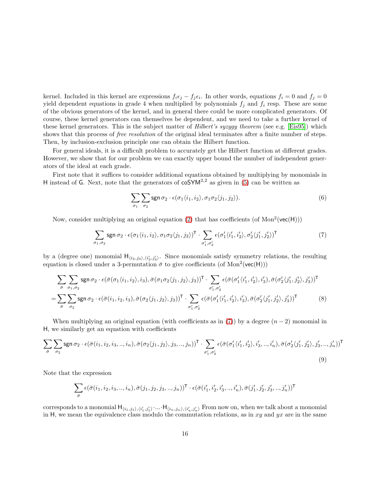kernel. Included in this kernel are expressions  $f_i \epsilon_j - f_j \epsilon_i$ . In other words, equations  $f_i = 0$  and  $f_j = 0$ yield dependent equations in grade 4 when multiplied by polynomials  $f_i$  and  $f_i$  resp. These are some of the obvious generators of the kernel, and in general there could be more complicated generators. Of course, these kernel generators can themselves be dependent, and we need to take a further kernel of these kernel generators. This is the subject matter of *Hilbert's syzygy theorem* (see e.g. [\[Eis95\]](#page-29-8)) which shows that this process of *free resolution* of the original ideal terminates after a finite number of steps. Then, by inclusion-exclusion principle one can obtain the Hilbert function.

For general ideals, it is a difficult problem to accurately get the Hilbert function at different grades. However, we show that for our problem we can exactly upper bound the number of independent generators of the ideal at each grade.

First note that it suffices to consider additional equations obtained by multiplying by monomials in H instead of G. Next, note that the generators of  $\cos Y M^{2,2}$  as given in [\(5\)](#page-14-1) can be written as

$$
\sum_{\sigma_1} \sum_{\sigma_2} \operatorname{sgn} \sigma_2 \cdot \epsilon(\sigma_1 \langle i_1, i_2 \rangle, \sigma_1 \sigma_2 \langle j_1, j_2 \rangle). \tag{6}
$$

Now, consider multiplying an original equation [\(2\)](#page-13-1) that has coefficients (of  $Mon^2(vec(H)))$ 

<span id="page-15-0"></span>
$$
\sum_{\sigma_1,\sigma_2} \operatorname{sgn} \sigma_2 \cdot \epsilon(\sigma_1 \langle i_1, i_2 \rangle, \sigma_1 \sigma_2 \langle j_1, j_2 \rangle)^{\mathsf{T}} \cdot \sum_{\sigma'_1, \sigma'_2} \epsilon(\sigma'_1 \langle i'_1, i'_2 \rangle, \sigma'_2 \langle j'_1, j'_2 \rangle)^{\mathsf{T}} \tag{7}
$$

by a (degree one) monomial  $H_{\langle i_3,j_3\rangle,\langle i'_3,j'_3\rangle}$ . Since monomials satisfy symmetry relations, the resulting equation is closed under a 3-permutation  $\bar{\sigma}$  to give coefficients (of Mon<sup>2</sup>(vec(H)))

$$
\sum_{\overline{\sigma}} \sum_{\sigma_1, \sigma_2} \operatorname{sgn} \sigma_2 \cdot \epsilon (\overline{\sigma} (\sigma_1 \langle i_1, i_2 \rangle, i_3), \overline{\sigma} (\sigma_1 \sigma_2 \langle j_1, j_2 \rangle, j_3))^\mathsf{T} \cdot \sum_{\sigma'_1, \sigma'_2} \epsilon (\overline{\sigma} (\sigma'_1 \langle i'_1, i'_2 \rangle, i'_3), \overline{\sigma} (\sigma'_2 \langle j'_1, j'_2 \rangle, j'_3))^\mathsf{T}
$$
\n
$$
= \sum_{\overline{\sigma}} \sum_{\sigma_2} \operatorname{sgn} \sigma_2 \cdot \epsilon (\overline{\sigma} (i_1, i_2, i_3), \overline{\sigma} (\sigma_2 \langle j_1, j_2 \rangle, j_3))^\mathsf{T} \cdot \sum_{\sigma'_1, \sigma'_2} \epsilon (\overline{\sigma} (\sigma'_1 \langle i'_1, i'_2 \rangle, i'_3), \overline{\sigma} (\sigma'_2 \langle j'_1, j'_2 \rangle, j'_3))^\mathsf{T} \tag{8}
$$

When multiplying an original equation (with coefficients as in [\(7\)](#page-15-0)) by a degree  $(n-2)$  monomial in H, we similarly get an equation with coefficients

$$
\sum_{\bar{\sigma}} \sum_{\sigma_2} \operatorname{sgn} \sigma_2 \cdot \epsilon(\bar{\sigma}(i_1, i_2, i_3, \dots, i_n), \bar{\sigma}(\sigma_2 \langle j_1, j_2 \rangle, j_3, \dots, j_n))^{\mathsf{T}} \cdot \sum_{\sigma'_1, \sigma'_2} \epsilon(\bar{\sigma}(\sigma'_1 \langle i'_1, i'_2 \rangle, i'_3, \dots, i'_n), \bar{\sigma}(\sigma'_2 \langle j'_1, j'_2 \rangle, j'_3, \dots, j'_n))^{\mathsf{T}} \tag{9}
$$

Note that the expression

<span id="page-15-1"></span>
$$
\sum_{\bar{\sigma}} \epsilon(\bar{\sigma}(i_1, i_2, i_3, .., i_n), \bar{\sigma}(j_1, j_2, j_3, .., j_n))^{\mathsf{T}} \cdot \epsilon(\bar{\sigma}(i'_1, i'_2, i'_3, .., i'_n), \bar{\sigma}(j'_1, j'_2, j'_3, .., j'_n))^{\mathsf{T}}
$$

corresponds to a monomial  $H_{\langle i_1,j_1\rangle,\langle i'_1,j'_1\rangle}$  ....  $H_{\langle i_n,j_n\rangle,\langle i'_n,j'_n\rangle}$  From now on, when we talk about a monomial in H, we mean the equivalence class modulo the commutation relations, as in xy and  $yx$  are in the same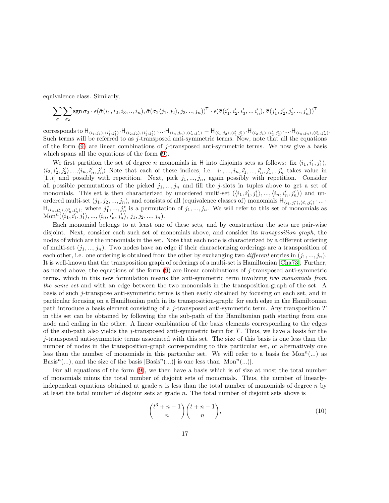equivalence class. Similarly,

$$
\sum_{\bar{\sigma}} \sum_{\sigma_2} \operatorname{sgn} \sigma_2 \cdot \epsilon(\bar{\sigma}(i_1, i_2, i_3, \ldots, i_n), \bar{\sigma}(\sigma_2 \langle j_1, j_2 \rangle, j_3, \ldots, j_n))^{\mathsf{T}} \cdot \epsilon(\bar{\sigma}(i'_1, i'_2, i'_3, \ldots, i'_n), \bar{\sigma}(j'_1, j'_2, j'_3, \ldots, j'_n))^{\mathsf{T}}
$$

corresponds to  $H_{\langle i_1,j_1\rangle,\langle i'_1,j'_1\rangle}\cdot H_{\langle i_2,j_2\rangle,\langle i'_2,j'_2\rangle}\cdot...\cdot H_{\langle i_n,j_n\rangle,\langle i'_n,j'_n\rangle}-H_{\langle i_1,j_2\rangle,\langle i'_1,j'_1\rangle}\cdot H_{\langle i_2,j_1\rangle,\langle i'_2,j'_2\rangle}\cdot...\cdot H_{\langle i_n,j_n\rangle,\langle i'_n,j'_n\rangle}.$ Such terms will be referred to as j-transposed anti-symmetric terms. Now, note that all the equations of the form  $(9)$  are linear combinations of j-transposed anti-symmetric terms. We now give a basis which spans all the equations of the form [\(9\)](#page-15-1).

We first partition the set of degree *n* monomials in H into disjoints sets as follows: fix  $\langle i_1, i'_1, j'_1 \rangle$ ,  $\langle i_2, i'_2, j'_2 \rangle, ..., \langle i_n, i'_n, j'_n \rangle$  Note that each of these indices, i.e.  $i_1, ..., i_n, i'_1, ..., i'_n, j'_1, ..., j'_n$  takes value in [1..t] and possibly with repetition. Next, pick  $j_1, ..., j_n$ , again possibly with repetition. Consider all possible permutations of the picked  $j_1, ..., j_n$  and fill the j-slots in tuples above to get a set of monomials. This set is then characterized by unordered multi-set  $(\langle i_1, i'_1, j'_1 \rangle, ..., \langle i_n, i'_n, j'_n \rangle)$  and unordered multi-set  $(j_1, j_2, ..., j_n)$ , and consists of all (equivalence classes of) monomials  $H_{\langle i_1, j_1^*, \langle i'_1, j'_1 \rangle}$ ...  $H_{\langle i_n,j_n^*\rangle,\langle i'_n,j'_n\rangle}$ , where  $j_1^*,...,j_n^*$  is a permutation of  $j_1,...,j_n$ . We will refer to this set of monomials as Mon<sup>n</sup>( $\langle i_1, i'_1, j'_1 \rangle, ..., \langle i_n, i'_n, j'_n \rangle, j_1, j_2, ..., j_n$ ).

Each monomial belongs to at least one of these sets, and by construction the sets are pair-wise disjoint. Next, consider each such set of monomials above, and consider its *transposition graph*, the nodes of which are the monomials in the set. Note that each node is characterized by a different ordering of multi-set  $(j_1, ..., j_n)$ . Two nodes have an edge if their characterizing orderings are a transposition of each other, i.e. one ordering is obtained from the other by exchanging two different entries in  $(j_1, ..., j_n)$ . It is well-known that the transposition graph of orderings of a multi-set is Hamiltonian [\[Cha73\]](#page-29-9). Further, as noted above, the equations of the form  $(9)$  are linear combinations of j-transposed anti-symmetric terms, which in this new formulation means the anti-symmetric term involving two monomials from the same set and with an edge between the two monomials in the transposition-graph of the set. A basis of such j-transpose anti-symmetric terms is then easily obtained by focusing on each set, and in particular focusing on a Hamiltonian path in its transposition-graph: for each edge in the Hamiltonian path introduce a basis element consisting of a j-transposed anti-symmetric term. Any transposition T in this set can be obtained by following the the sub-path of the Hamiltonian path starting from one node and ending in the other. A linear combination of the basis elements corresponding to the edges of the sub-path also yields the j-transposed anti-symmetric term for  $T$ . Thus, we have a basis for the j-transposed anti-symmetric terms associated with this set. The size of this basis is one less than the number of nodes in the transposition-graph corresponding to this particular set, or alternatively one less than the number of monomials in this particular set. We will refer to a basis for  $Mon<sup>n</sup>(...)$  as Basis<sup>n</sup>(...), and the size of the basis  $|Basis^n(...)|$  is one less than  $|Mon^n(...)|$ .

For all equations of the form [\(9\)](#page-15-1), we then have a basis which is of size at most the total number of monomials minus the total number of disjoint sets of monomials. Thus, the number of linearlyindependent equations obtained at grade n is less than the total number of monomials of degree n by at least the total number of disjoint sets at grade n. The total number of disjoint sets above is

<span id="page-16-0"></span>
$$
\binom{t^3+n-1}{n}\binom{t+n-1}{n},\tag{10}
$$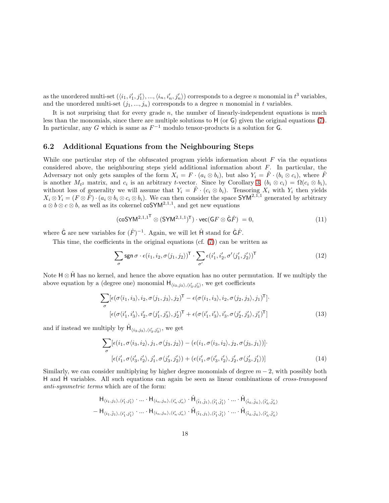as the unordered multi-set  $(\langle i_1, i'_1, j'_1 \rangle, ..., \langle i_n, i'_n, j'_n \rangle)$  corresponds to a degree n monomial in  $t^3$  variables, and the unordered multi-set  $(j_1, ..., j_n)$  corresponds to a degree n monomial in t variables.

It is not surprising that for every grade  $n$ , the number of linearly-independent equations is much less than the monomials, since there are multiple solutions to H (or G) given the original equations [\(7\)](#page-15-0). In particular, any G which is same as  $F^{-1}$  modulo tensor-products is a solution for G.

## <span id="page-17-0"></span>6.2 Additional Equations from the Neighbouring Steps

While one particular step of the obfuscated program yields information about  $F$  via the equations considered above, the neighbouring steps yield additional information about  $F$ . In particular, the Adversary not only gets samples of the form  $X_i = F \cdot (a_i \otimes b_i)$ , but also  $Y_i = \hat{F} \cdot (b_i \otimes c_i)$ , where  $\hat{F}$ is another  $M_{t^2}$  matrix, and  $c_i$  is an arbitrary t-vector. Since by Corollary [3,](#page-5-3)  $(b_i \otimes c_i) = \Omega(c_i \otimes b_i)$ , without loss of generality we will assume that  $Y_i = \hat{F} \cdot (c_i \otimes b_i)$ . Tensoring  $X_i$  with  $Y_i$  then yields  $X_i \otimes Y_i = (F \otimes \hat{F}) \cdot (a_i \otimes b_i \otimes c_i \otimes b_i)$ . We can then consider the space SYM<sup>2,1,1</sup> generated by arbitrary  $a \otimes b \otimes c \otimes b$ , as well as its cokernel coSYM<sup>2,1,1</sup>, and get new equations

<span id="page-17-1"></span>
$$
(\mathsf{coSYM}^{2,1,1^{\mathsf{T}}} \otimes (\mathsf{SYM}^{2,1,1})^{\mathsf{T}}) \cdot \mathsf{vec}(\mathsf{G}F \otimes \hat{\mathsf{G}}\hat{F}) = 0,\tag{11}
$$

where  $\hat{\mathsf{G}}$  are new variables for  $(\hat{F})^{-1}$ . Again, we will let  $\hat{\mathsf{H}}$  stand for  $\hat{\mathsf{G}}\hat{F}$ .

This time, the coefficients in the original equations (cf. [\(7\)](#page-15-0)) can be written as

$$
\sum_{\sigma} \operatorname{sgn} \sigma \cdot \epsilon(i_1, i_2, \sigma\langle j_1, j_2 \rangle)^\mathsf{T} \cdot \sum_{\sigma'} \epsilon(i'_1, i'_2, \sigma'\langle j'_1, j'_2 \rangle)^\mathsf{T} \tag{12}
$$

Note  $H \otimes \hat{H}$  has no kernel, and hence the above equation has no outer permutation. If we multiply the above equation by a (degree one) monomial  $H_{\langle i_3,j_3\rangle,\langle i'_3,j'_3\rangle}$ , we get coefficients

$$
\sum_{\sigma} [\epsilon(\sigma \langle i_1, i_3 \rangle, i_2, \sigma \langle j_1, j_3 \rangle, j_2)^{\mathsf{T}} - \epsilon(\sigma \langle i_1, i_3 \rangle, i_2, \sigma \langle j_2, j_3 \rangle, j_1)^{\mathsf{T}}] \cdot [\epsilon(\sigma \langle i'_1, i'_3 \rangle, i'_2, \sigma \langle j'_1, j'_3 \rangle, j'_2)^{\mathsf{T}} + \epsilon(\sigma \langle i'_1, i'_3 \rangle, i'_3, \sigma \langle j'_2, j'_3 \rangle, j'_1)^{\mathsf{T}}] \tag{13}
$$

and if instead we multiply by  $\hat{H}_{\langle i_3,j_3\rangle,\langle i'_3,j'_3\rangle}$ , we get

$$
\sum_{\sigma} [\epsilon(i_1, \sigma\langle i_3, i_2 \rangle, j_1, \sigma\langle j_3, j_2 \rangle) - (\epsilon(i_1, \sigma\langle i_3, i_2 \rangle, j_2, \sigma\langle j_3, j_1 \rangle)].
$$
  

$$
[\epsilon(i'_1, \sigma\langle i'_3, i'_2 \rangle, j'_1, \sigma\langle j'_3, j'_2 \rangle) + (\epsilon(i'_1, \sigma\langle i'_3, i'_2 \rangle, j'_2, \sigma\langle j'_3, j'_1 \rangle))]
$$
(14)

Similarly, we can consider multiplying by higher degree monomials of degree  $m-2$ , with possibly both H and H variables. All such equations can again be seen as linear combinations of cross-transposed anti-symmetric terms which are of the form:

$$
\begin{aligned}\n & H_{\langle i_1,j_1\rangle,\langle i_1',j_1'\rangle}\cdot\ldots\cdot H_{\langle i_n,j_n\rangle,\langle i_n',j_n'\rangle}\cdot\hat{H}_{\langle \hat{i}_1,\hat{j}_1\rangle,\langle \hat{i}_1',\hat{j}_1'\rangle}\cdot\ldots\cdot\hat{H}_{\langle \hat{i}_n,\hat{j}_n\rangle,\langle \hat{i}_n',\hat{j}_n'\rangle} \\
&-H_{\langle i_1,\hat{j}_1\rangle,\langle i_1',j_1'\rangle}\cdot\ldots\cdot H_{\langle i_n,j_n\rangle,\langle i_n',j_n'\rangle}\cdot\hat{H}_{\langle \hat{i}_1,j_1\rangle,\langle \hat{i}_1',\hat{j}_1'\rangle}\cdot\ldots\cdot\hat{H}_{\langle \hat{i}_n,\hat{j}_n\rangle,\langle \hat{i}_n',\hat{j}_n'\rangle}\n \end{aligned}
$$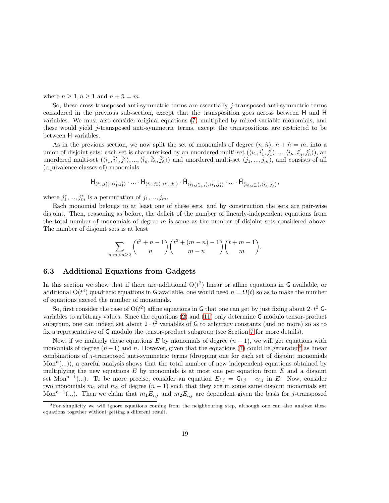where  $n \geq 1, \hat{n} \geq 1$  and  $n + \hat{n} = m$ .

So, these cross-transposed anti-symmetric terms are essentially j-transposed anti-symmetric terms considered in the previous sub-section, except that the transposition goes across between H and  $\hat{H}$ variables. We must also consider original equations [\(7\)](#page-15-0) multiplied by mixed-variable monomials, and these would yield j-transposed anti-symmetric terms, except the transpositions are restricted to be between H variables.

As in the previous section, we now split the set of monomials of degree  $(n, \hat{n})$ ,  $n + \hat{n} = m$ , into a union of disjoint sets: each set is characterized by an unordered multi-set  $(\langle i_1, i'_1, j'_1 \rangle, ..., \langle i_n, i'_n, j'_n \rangle)$ , an unordered multi-set  $(\langle \hat{i}_1, \hat{i}'_1, \hat{j}'_1 \rangle, ..., \langle \hat{i}_n, \hat{i}'_n, \hat{j}'_n \rangle)$  and unordered multi-set  $(j_1, ..., j_m)$ , and consists of all (equivalence classes of) monomials

$$
\text{H}_{\langle i_1,j_1^*\rangle,\langle i_1',j_1'\rangle}\cdot\ldots\cdot\text{H}_{\langle i_n,j_n^*\rangle,\langle i_n',j_n'\rangle}\cdot\hat{\text{H}}_{\langle \hat{i}_1,j_{n+1}^*\rangle,\langle \hat{i}_1',\hat{j}_1'\rangle}\cdot\ldots\cdot\hat{\text{H}}_{\langle \hat{i}_n,j_m^*\rangle,\langle \hat{i}_n',\hat{j}_n'\rangle},
$$

where  $j_1^*,...,j_m^*$  is a permutation of  $j_1,...,j_m$ .

Each monomial belongs to at least one of these sets, and by construction the sets are pair-wise disjoint. Then, reasoning as before, the deficit of the number of linearly-independent equations from the total number of monomials of degree  $m$  is same as the number of disjoint sets considered above. The number of disjoint sets is at least

$$
\sum_{n:m > n \ge 2} {t^3 + n - 1 \choose n} {t^3 + (m - n) - 1 \choose m - n} {t + m - 1 \choose m}.
$$

## <span id="page-18-0"></span>6.3 Additional Equations from Gadgets

In this section we show that if there are additional  $O(t^2)$  linear or affine equations in G available, or additional  $O(t^4)$  quadratic equations in G available, one would need  $n = \Omega(t)$  so as to make the number of equations exceed the number of monomials.

So, first consider the case of  $O(t^2)$  affine equations in G that one can get by just fixing about  $2 \cdot t^2$  Gvariables to arbitrary values. Since the equations [\(2\)](#page-13-1) and [\(11\)](#page-17-1) only determine G modulo tensor-product subgroup, one can indeed set about  $2 \cdot t^2$  variables of G to arbitrary constants (and no more) so as to fix a representative of G modulo the tensor-product subgroup (see Section [7](#page-20-0) for more details).

Now, if we multiply these equations E by monomials of degree  $(n - 1)$ , we will get equations with monomials of degree  $(n-1)$  and n. However, given that the equations [\(7\)](#page-15-0) could be generated<sup>[8](#page-18-1)</sup> as linear combinations of j-transposed anti-symmetric terms (dropping one for each set of disjoint monomials  $Mon<sup>n</sup>(...)$ , a careful analysis shows that the total number of new independent equations obtained by multiplying the new equations  $E$  by monomials is at most one per equation from  $E$  and a disjoint set Mon<sup>n-1</sup>(...). To be more precise, consider an equation  $E_{i,j} = G_{i,j} - c_{i,j}$  in E. Now, consider two monomials  $m_1$  and  $m_2$  of degree  $(n - 1)$  such that they are in some same disjoint monomials set Mon<sup>n-1</sup>(...). Then we claim that  $m_1 E_{i,j}$  and  $m_2 E_{i,j}$  are dependent given the basis for j-transposed

<span id="page-18-1"></span><sup>&</sup>lt;sup>8</sup>For simplicity we will ignore equations coming from the neighbouring step, although one can also analyze these equations together without getting a different result.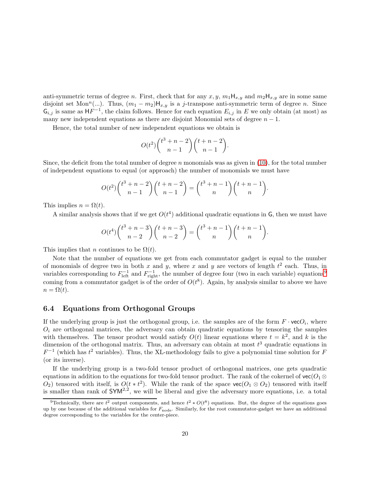anti-symmetric terms of degree n. First, check that for any  $x, y, m_1H_{x,y}$  and  $m_2H_{x,y}$  are in some same disjoint set Mon<sup>n</sup>(...). Thus,  $(m_1 - m_2)H_{x,y}$  is a j-transpose anti-symmetric term of degree n. Since  $\mathsf{G}_{i,j}$  is same as  $\mathsf{H} F^{-1}$ , the claim follows. Hence for each equation  $E_{i,j}$  in E we only obtain (at most) as many new independent equations as there are disjoint Monomial sets of degree  $n - 1$ .

Hence, the total number of new independent equations we obtain is

$$
O(t^2) \binom{t^3 + n - 2}{n - 1} \binom{t + n - 2}{n - 1}.
$$

Since, the deficit from the total number of degree n monomials was as given in  $(10)$ , for the total number of independent equations to equal (or approach) the number of monomials we must have

$$
O(t^2) \binom{t^3 + n - 2}{n - 1} \binom{t + n - 2}{n - 1} = \binom{t^3 + n - 1}{n} \binom{t + n - 1}{n}.
$$

This implies  $n = \Omega(t)$ .

A similar analysis shows that if we get  $O(t^4)$  additional quadratic equations in G, then we must have

$$
O(t^4) \binom{t^3 + n - 3}{n - 2} \binom{t + n - 3}{n - 2} = \binom{t^3 + n - 1}{n} \binom{t + n - 1}{n}.
$$

This implies that n continues to be  $\Omega(t)$ .

Note that the number of equations we get from each commutator gadget is equal to the number of monomials of degree two in both x and y, where x and y are vectors of length  $t^2$  each. Thus, in variables corresponding to  $F_{\text{left}}^{-1}$  and  $F_{\text{right}}^{-1}$ , the number of degree four (two in each variable) equations<sup>[9](#page-19-1)</sup> coming from a commutator gadget is of the order of  $O(t^8)$ . Again, by analysis similar to above we have  $n = \Omega(t)$ .

## <span id="page-19-0"></span>6.4 Equations from Orthogonal Groups

If the underlying group is just the orthogonal group, i.e. the samples are of the form  $F \cdot \text{vec}O_i$ , where  $O_i$  are orthogonal matrices, the adversary can obtain quadratic equations by tensoring the samples with themselves. The tensor product would satisfy  $O(t)$  linear equations where  $t = k^2$ , and k is the dimension of the orthogonal matrix. Thus, an adversary can obtain at most  $t^3$  quadratic equations in  $F^{-1}$  (which has  $t^2$  variables). Thus, the XL-methodology fails to give a polynomial time solution for F (or its inverse).

If the underlying group is a two-fold tensor product of orthogonal matrices, one gets quadratic equations in addition to the equations for two-fold tensor product. The rank of the cokernel of  $\text{vec}(O_1 \otimes$  $O_2$ ) tensored with itself, is  $O(t * t^2)$ . While the rank of the space  $\text{vec}(O_1 \otimes O_2)$  tensored with itself is smaller than rank of  $\mathsf{SYM}^{2,2}$ , we will be liberal and give the adversary more equations, i.e. a total

<span id="page-19-1"></span><sup>&</sup>lt;sup>9</sup>Technically, there are  $t^2$  output components, and hence  $t^2 * O(t^8)$  equations. But, the degree of the equations goes up by one because of the additional variables for  $F_{\text{node}}$ . Similarly, for the root commutator-gadget we have an additional degree corresponding to the variables for the center-piece.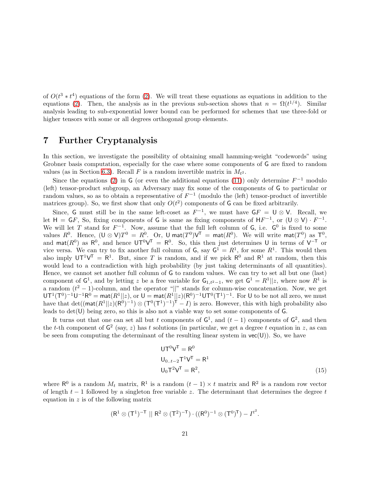of  $O(t^3 * t^4)$  equations of the form [\(2\)](#page-13-1). We will treat these equations as equations in addition to the equations [\(2\)](#page-13-1). Then, the analysis as in the previous sub-section shows that  $n = \Omega(t^{1/4})$ . Similar analysis leading to sub-exponential lower bound can be performed for schemes that use three-fold or higher tensors with some or all degrees orthogonal group elements.

# <span id="page-20-0"></span>7 Further Cryptanalysis

In this section, we investigate the possibility of obtaining small hamming-weight "codewords" using Grobner basis computation, especially for the case where some components of G are fixed to random values (as in Section [6.3\)](#page-18-0). Recall F is a random invertible matrix in  $M_{t^2}$ .

Since the equations [\(2\)](#page-13-1) in G (or even the additional equations [\(11\)](#page-17-1)) only determine  $F^{-1}$  modulo (left) tensor-product subgroup, an Adversary may fix some of the components of G to particular or random values, so as to obtain a representative of  $F^{-1}$  (modulo the (left) tensor-product of invertible matrices group). So, we first show that only  $O(t^2)$  components of G can be fixed arbitrarily.

Since, G must still be in the same left-coset as  $F^{-1}$ , we must have  $GF = U \otimes V$ . Recall, we let  $H = GF$ , So, fixing components of G is same as fixing components of  $HF^{-1}$ , or  $(U \otimes V) \cdot F^{-1}$ . We will let T stand for  $F^{-1}$ . Now, assume that the full left column of G, i.e.  $G^0$  is fixed to some values  $R^0$ . Hence,  $(\mathsf{U} \otimes \mathsf{V})T^0 = R^0$ . Or,  $\mathsf{U}$  mat $(T^0)\mathsf{V}^{\mathsf{T}} = \mathsf{mat}(R^0)$ . We will write  $\mathsf{mat}(T^0)$  as  $T^0$ , and mat( $R^0$ ) as  $R^0$ , and hence  $UT^0V^T = R^0$ . So, this then just determines U in terms of  $V^{-T}$  or vice versa. We can try to fix another full column of  $G$ , say  $G^1 = R^1$ , for some  $R^1$ . This would then also imply  $UT^1V^T = R^1$ . But, since T is random, and if we pick  $R^0$  and  $R^1$  at random, then this would lead to a contradiction with high probability (by just taking determinants of all quantities). Hence, we cannot set another full column of G to random values. We can try to set all but one (last) component of  $G^1$ , and by letting z be a free variable for  $G_{1,t^2-1}$ , we get  $G^1 = R^1 || z$ , where now  $R^1$  is a random  $(t^2 - 1)$ -column, and the operator "||" stands for column-wise concatenation. Now, we get  $U T^1 (T^0)^{-1} U^{-1} R^0 = \text{mat}(R^1 || z)$ , or  $U = \text{mat}(R^1 || z) (R^0)^{-1} U T^0 (T^1)^{-1}$ . For U to be not all zero, we must have that  $\det((\text{mat}(R^1||z)(R^0)^{-1}) \otimes (T^0(T^1)^{-1})^T - I)$  is zero. However, this with high probability also leads to det(U) being zero, so this is also not a viable way to set some components of G.

It turns out that one can set all but t components of  $G^1$ , and  $(t-1)$  components of  $G^2$ , and then the t-th component of  $\mathsf{G}^2$  (say, z) has t solutions (in particular, we get a degree t equation in z, as can be seen from computing the determinant of the resulting linear system in  $vec(U)$ ). So, we have

<span id="page-20-1"></span>
$$
UT0VT = R0
$$
  
\n
$$
U0..t-2T1VT = R1
$$
  
\n
$$
U0T2VT = R2,
$$
 (15)

where  $\mathsf{R}^0$  is a random  $M_t$  matrix,  $\mathsf{R}^1$  is a random  $(t-1) \times t$  matrix and  $\mathsf{R}^2$  is a random row vector of length  $t - 1$  followed by a singleton free variable z. The determinant that determines the degree t equation in z is of the following matrix

$$
(R^1\otimes (T^1)^{-T}\,\,||\,\,R^2\otimes (T^2)^{-T})\cdot ((R^0)^{-1}\otimes (T^0)^T)-\mathit{I}^{t^2}.
$$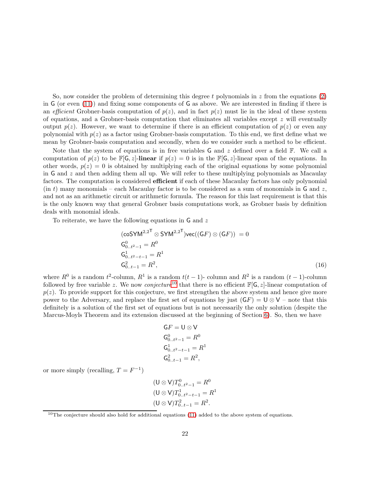So, now consider the problem of determining this degree t polynomials in  $z$  from the equations [\(2\)](#page-13-1) in G (or even [\(11\)](#page-17-1)) and fixing some components of G as above. We are interested in finding if there is an efficient Grobner-basis computation of  $p(z)$ , and in fact  $p(z)$  must lie in the ideal of these system of equations, and a Grobner-basis computation that eliminates all variables except  $z$  will eventually output  $p(z)$ . However, we want to determine if there is an efficient computation of  $p(z)$  or even any polynomial with  $p(z)$  as a factor using Grobner-basis computation. To this end, we first define what we mean by Grobner-basis computation and secondly, when do we consider such a method to be efficient.

Note that the system of equations is in free variables G and z defined over a field  $\mathbb{F}$ . We call a computation of  $p(z)$  to be  $\mathbb{F}[G, z]$ -linear if  $p(z) = 0$  is in the  $\mathbb{F}[G, z]$ -linear span of the equations. In other words,  $p(z) = 0$  is obtained by multiplying each of the original equations by some polynomial in G and  $z$  and then adding them all up. We will refer to these multiplying polynomials as Macaulay factors. The computation is considered **efficient** if each of these Macaulay factors has only polynomial  $(in t)$  many monomials – each Macaulay factor is to be considered as a sum of monomials in G and z, and not as an arithmetic circuit or arithmetic formula. The reason for this last requirement is that this is the only known way that general Grobner basis computations work, as Grobner basis by definition deals with monomial ideals.

To reiterate, we have the following equations in  $G$  and  $z$ 

$$
(\mathsf{coSYM}^{2,2^{\mathsf{T}}}\otimes \mathsf{SYM}^{2,2^{\mathsf{T}}})\mathsf{vec}((\mathsf{G}F)\otimes (\mathsf{G}F)) = 0
$$
  
\n
$$
\mathsf{G}_{0..t^{2}-1}^{0} = R^{0}
$$
  
\n
$$
\mathsf{G}_{0..t^{2}-t-1}^{1} = R^{1}
$$
  
\n
$$
\mathsf{G}_{0..t-1}^{2} = R^{2},
$$
\n(16)

where  $R^0$  is a random  $t^2$ -column,  $R^1$  is a random  $t(t-1)$ -column and  $R^2$  is a random  $(t-1)$ -column followed by free variable z. We now *conjecture*<sup>[10](#page-21-0)</sup> that there is no efficient  $\mathbb{F}[G, z]$ -linear computation of  $p(z)$ . To provide support for this conjecture, we first strengthen the above system and hence give more power to the Adversary, and replace the first set of equations by just  $(GF) = U \otimes V$  – note that this definitely is a solution of the first set of equations but is not necessarily the only solution (despite the Marcus-Moyls Theorem and its extension discussed at the beginning of Section [6\)](#page-12-0). So, then we have

<span id="page-21-1"></span>
$$
GF = U \otimes V
$$
  
\n
$$
G_{0..t^2-1}^0 = R^0
$$
  
\n
$$
G_{0..t^2-t-1}^1 = R^1
$$
  
\n
$$
G_{0..t-1}^2 = R^2,
$$

or more simply (recalling,  $T = F^{-1}$ )

$$
(\mathsf{U} \otimes \mathsf{V})T_{0..t^2-1}^0 = R^0
$$
  
\n
$$
(\mathsf{U} \otimes \mathsf{V})T_{0..t^2-t-1}^1 = R^1
$$
  
\n
$$
(\mathsf{U} \otimes \mathsf{V})T_{0..t-1}^2 = R^2.
$$

<span id="page-21-0"></span> $10$ The conjecture should also hold for additional equations [\(11\)](#page-17-1) added to the above system of equations.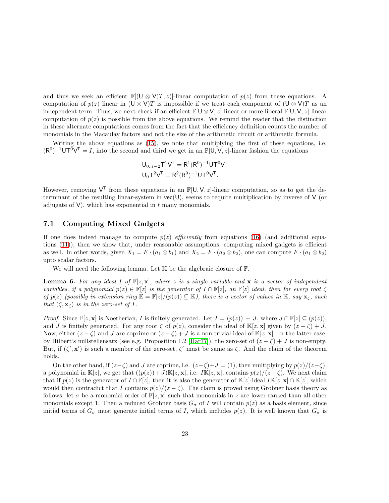and thus we seek an efficient  $\mathbb{F}[(\mathbb{U} \otimes \mathbb{V})T, z)]$ -linear computation of  $p(z)$  from these equations. A computation of  $p(z)$  linear in  $(U \otimes V)T$  is impossible if we treat each component of  $(U \otimes V)T$  as an independent term. Thus, we next check if an efficient  $\mathbb{F}[\mathsf{U} \otimes \mathsf{V}, z]$ -linear or more liberal  $\mathbb{F}[\mathsf{U}, \mathsf{V}, z]$ -linear computation of  $p(z)$  is possible from the above equations. We remind the reader that the distinction in these alternate computations comes from the fact that the efficiency definition counts the number of monomials in the Macaulay factors and not the size of the arithmetic circuit or arithmetic formula.

Writing the above equations as [\(15\)](#page-20-1), we note that multiplying the first of these equations, i.e.  $(R^0)^{-1}$ UT<sup>0</sup>V<sup>T</sup> = *I*, into the second and third we get in an  $\mathbb{F}[U, V, z]$ -linear fashion the equations

$$
U_{0..t-2}T^{1}V^{T} = R^{1}(R^{0})^{-1}UT^{0}V^{T}
$$

$$
U_{0}T^{2}V^{T} = R^{2}(R^{0})^{-1}UT^{0}V^{T}.
$$

However, removing  $V^T$  from these equations in an  $\mathbb{F}[U, V, z]$ -linear computation, so as to get the determinant of the resulting linear-system in  $vec(U)$ , seems to require multiplication by inverse of  $V$  (or adjugate of  $V$ ), which has exponential in  $t$  many monomials.

## <span id="page-22-0"></span>7.1 Computing Mixed Gadgets

If one does indeed manage to compute  $p(z)$  efficiently from equations [\(16\)](#page-21-1) (and additional equations [\(11\)](#page-17-1)), then we show that, under reasonable assumptions, computing mixed gadgets is efficient as well. In other words, given  $X_1 = F \cdot (a_1 \otimes b_1)$  and  $X_2 = F \cdot (a_2 \otimes b_2)$ , one can compute  $F \cdot (a_1 \otimes b_2)$ upto scalar factors.

We will need the following lemma. Let  $K$  be the algebraic closure of  $F$ .

<span id="page-22-1"></span>**Lemma 6.** For any ideal I of  $\mathbb{F}[z, x]$ , where z is a single variable and x is a vector of independent variables, if a polynomial  $p(z) \in \mathbb{F}[z]$  is the generator of  $I \cap \mathbb{F}[z]$ , an  $\mathbb{F}[z]$  ideal, then for every root  $\zeta$ of  $p(z)$  (possibly in extension ring  $\mathbb{E} = \mathbb{F}[z]/(p(z)) \subseteq \mathbb{K}$ ), there is a vector of values in  $\mathbb{K}$ , say  $\mathbf{x}_{\zeta}$ , such that  $(\zeta, \mathbf{x}_c)$  is in the zero-set of I.

*Proof.* Since  $\mathbb{F}[z, x]$  is Noetherian, I is finitely generated. Let  $I = (p(z)) + J$ , where  $J \cap \mathbb{F}[z] \subseteq (p(z)),$ and J is finitely generated. For any root  $\zeta$  of  $p(z)$ , consider the ideal of K[z, x] given by  $(z - \zeta) + J$ . Now, either  $(z - \zeta)$  and J are coprime or  $(z - \zeta) + J$  is a non-trivial ideal of  $\mathbb{K}[z, \mathbf{x}]$ . In the latter case, by Hilbert's nullstellensatz (see e.g. Proposition 1.2 [\[Har77\]](#page-30-4)), the zero-set of  $(z - \zeta) + J$  is non-empty. But, if  $(\zeta', \mathbf{x}')$  is such a member of the zero-set,  $\zeta'$  must be same as  $\zeta$ . And the claim of the theorem holds.

On the other hand, if  $(z-\zeta)$  and J are coprime, i.e.  $(z-\zeta)+J=(1)$ , then multiplying by  $p(z)/(z-\zeta)$ , a polynomial in K[z], we get that  $((p(z))+J)\mathbb{K}[z, \mathbf{x}]$ , i.e.  $I\mathbb{K}[z, \mathbf{x}]$ , contains  $p(z)/(z-\zeta)$ . We next claim that if  $p(z)$  is the generator of  $I \cap \mathbb{F}[z]$ , then it is also the generator of  $\mathbb{K}[z]$ -ideal  $I\mathbb{K}[z, \mathbf{x}] \cap \mathbb{K}[z]$ , which would then contradict that I contains  $p(z)/(z - \zeta)$ . The claim is proved using Grobner basis theory as follows: let  $\sigma$  be a monomial order of  $\mathbb{F}[z, \mathbf{x}]$  such that monomials in z are lower ranked than all other monomials except 1. Then a reduced Grobner basis  $G_{\sigma}$  of I will contain  $p(z)$  as a basis element, since initial terms of  $G_{\sigma}$  must generate initial terms of I, which includes  $p(z)$ . It is well known that  $G_{\sigma}$  is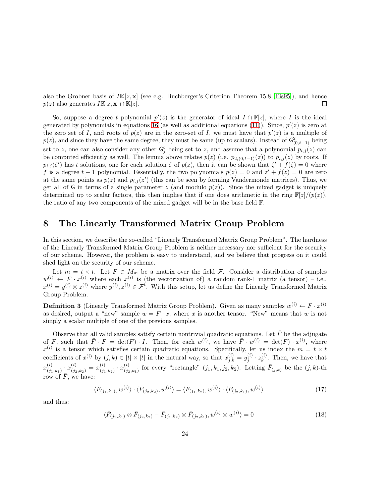also the Grobner basis of  $I\mathbb{K}[z, x]$  (see e.g. Buchberger's Criterion Theorem 15.8 [\[Eis95\]](#page-29-8)), and hence  $p(z)$  also generates  $I\mathbb{K}[z,\mathbf{x}] \cap \mathbb{K}[z]$ .  $\Box$ 

So, suppose a degree t polynomial  $p'(z)$  is the generator of ideal  $I \cap \mathbb{F}[z]$ , where I is the ideal generated by polynomials in equations [16](#page-21-1) (as well as additional equations  $(11)$ ). Since,  $p'(z)$  is zero at the zero set of I, and roots of  $p(z)$  are in the zero-set of I, we must have that  $p'(z)$  is a multiple of  $p(z)$ , and since they have the same degree, they must be same (up to scalars). Instead of  $\mathsf{G}^2_{(0,t-1)}$  being set to z, one can also consider any other  $G_j^i$  being set to z, and assume that a polynomial  $p_{i,j}(z)$  can be computed efficiently as well. The lemma above relates  $p(z)$  (i.e.  $p_{2,(0,t-1)}(z)$ ) to  $p_{i,j}(z)$  by roots. If  $p_{i,j}(\zeta')$  has t solutions, one for each solution  $\zeta$  of  $p(z)$ , then it can be shown that  $\zeta' + f(\zeta) = 0$  where f is a degree  $t-1$  polynomial. Essentially, the two polynomials  $p(z) = 0$  and  $z' + f(z) = 0$  are zero at the same points as  $p(z)$  and  $p_{i,j}(z')$  (this can be seen by forming Vandermonde matrices). Thus, we get all of G in terms of a single parameter z (and modulo  $p(z)$ ). Since the mixed gadget is uniquely determined up to scalar factors, this then implies that if one does arithmetic in the ring  $\mathbb{F}[z]/(p(z))$ , the ratio of any two components of the mixed gadget will be in the base field F.

## <span id="page-23-0"></span>8 The Linearly Transformed Matrix Group Problem

In this section, we describe the so-called "Linearly Transformed Matrix Group Problem". The hardness of the Linearly Transformed Matrix Group Problem is neither necessary nor sufficient for the security of our scheme. However, the problem is easy to understand, and we believe that progress on it could shed light on the security of our scheme.

Let  $m = t \times t$ . Let  $F \in M_m$  be a matrix over the field F. Consider a distribution of samples  $w^{(i)} \leftarrow F \cdot x^{(i)}$  where each  $x^{(i)}$  is (the vectorization of) a random rank-1 matrix (a tensor) – i.e.,  $x^{(i)} = y^{(i)} \otimes z^{(i)}$  where  $y^{(i)}$ ,  $z^{(i)} \in \mathcal{F}^t$ . With this setup, let us define the Linearly Transformed Matrix Group Problem.

**Definition 3** (Linearly Transformed Matrix Group Problem). Given as many samples  $w^{(i)} \leftarrow F \cdot x^{(i)}$ as desired, output a "new" sample  $w = F \cdot x$ , where x is another tensor. "New" means that w is not simply a scalar multiple of one of the previous samples.

Observe that all valid samples satisfy certain nontrivial quadratic equations. Let  $\bar{F}$  be the adjugate of F, such that  $\overline{F} \cdot F = \det(F) \cdot I$ . Then, for each  $w^{(i)}$ , we have  $\overline{F} \cdot w^{(i)} = \det(F) \cdot x^{(i)}$ , where  $x^{(i)}$  is a tensor which satisfies certain quadratic equations. Specifically, let us index the  $m = t \times t$ coefficients of  $x^{(i)}$  by  $(j,k) \in [t] \times [t]$  in the natural way, so that  $x_{j,k}^{(i)} = y_j^{(i)} \cdot z_k^{(i)}$  $\binom{v}{k}$ . Then, we have that  $x_{(i)}^{(i)}$  $\overset{(i)}{(j_1,k_1)}\cdot x^{(i)}_{(j_2,k_2)}=x^{(i)}_{(j_1)}$  $\stackrel{(i)}{(j_1,k_2)} \cdot x_{(j_2)}^{(i)}$  $(i)$ <sub>(j<sub>2,k<sub>1</sub>)</sub> for every "rectangle"  $(j_1, k_1, j_2, k_2)$ . Letting  $\bar{F}_{(j,k)}$  be the  $(j,k)$ -th</sub> row of  $\overline{F}$ , we have:

$$
\langle \bar{F}_{(j_1,k_1)}, w^{(i)} \rangle \cdot \langle \bar{F}_{(j_2,k_2)}, w^{(i)} \rangle = \langle \bar{F}_{(j_1,k_2)}, w^{(i)} \rangle \cdot \langle \bar{F}_{(j_2,k_1)}, w^{(i)} \rangle \tag{17}
$$

and thus:

<span id="page-23-1"></span>
$$
\langle \bar{F}_{(j_1,k_1)} \otimes \bar{F}_{(j_2,k_2)} - \bar{F}_{(j_1,k_2)} \otimes \bar{F}_{(j_2,k_1)}, w^{(i)} \otimes w^{(i)} \rangle = 0 \tag{18}
$$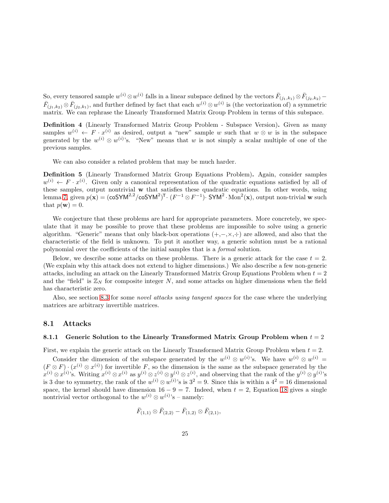So, every tensored sample  $w^{(i)} \otimes w^{(i)}$  falls in a linear subspace defined by the vectors  $\bar{F}_{(j_1,k_1)} \otimes \bar{F}_{(j_2,k_2)}$  –  $\bar{F}_{(j_1,k_2)} \otimes \bar{F}_{(j_2,k_1)}$ , and further defined by fact that each  $w^{(i)} \otimes w^{(i)}$  is (the vectorization of) a symmetric matrix. We can rephrase the Linearly Transformed Matrix Group Problem in terms of this subspace.

Definition 4 (Linearly Transformed Matrix Group Problem - Subspace Version). Given as many samples  $w^{(i)} \leftarrow F \cdot x^{(i)}$  as desired, output a "new" sample w such that  $w \otimes w$  is in the subspace generated by the  $w^{(i)} \otimes w^{(i)}$ 's. "New" means that w is not simply a scalar multiple of one of the previous samples.

We can also consider a related problem that may be much harder.

Definition 5 (Linearly Transformed Matrix Group Equations Problem). Again, consider samples  $w^{(i)} \leftarrow F \cdot x^{(i)}$ . Given only a canonical representation of the quadratic equations satisfied by all of these samples, output nontrivial w that satisfies these quadratic equations. In other words, using lemma [7,](#page-32-1) given  $p(\mathbf{x}) = (\cos Y M^{2,2} / \cos Y M^{2})^{\mathsf{T}} \cdot (F^{-1} \otimes F^{-1}) \cdot \text{SYM}^{2} \cdot \text{Mon}^{2}(\mathbf{x})$ , output non-trivial w such that  $p(\mathbf{w}) = 0$ .

We conjecture that these problems are hard for appropriate parameters. More concretely, we speculate that it may be possible to prove that these problems are impossible to solve using a generic algorithm. "Generic" means that only black-box operations  $(+,-,\times,\div)$  are allowed, and also that the characteristic of the field is unknown. To put it another way, a generic solution must be a rational polynomial over the coefficients of the initial samples that is a formal solution.

Below, we describe some attacks on these problems. There is a generic attack for the case  $t = 2$ . (We explain why this attack does not extend to higher dimensions.) We also describe a few non-generic attacks, including an attack on the Linearly Transformed Matrix Group Equations Problem when  $t = 2$ and the "field" is  $\mathbb{Z}_N$  for composite integer N, and some attacks on higher dimensions when the field has characteristic zero.

Also, see section [8.3](#page-28-0) for some novel attacks using tangent spaces for the case where the underlying matrices are arbitrary invertible matrices.

#### <span id="page-24-0"></span>8.1 Attacks

#### 8.1.1 Generic Solution to the Linearly Transformed Matrix Group Problem when  $t = 2$

First, we explain the generic attack on the Linearly Transformed Matrix Group Problem when  $t = 2$ .

Consider the dimension of the subspace generated by the  $w^{(i)} \otimes w^{(i)}$ 's. We have  $w^{(i)} \otimes w^{(i)} =$  $(F \otimes F) \cdot (x^{(i)} \otimes x^{(i)})$  for invertible F, so the dimension is the same as the subspace generated by the  $x^{(i)} \otimes x^{(i)}$ 's. Writing  $x^{(i)} \otimes x^{(i)}$  as  $y^{(i)} \otimes z^{(i)} \otimes y^{(i)} \otimes z^{(i)}$ , and observing that the rank of the  $y^{(i)} \otimes y^{(i)}$ 's is 3 due to symmetry, the rank of the  $w^{(i)} \otimes w^{(i)}$ 's is  $3^2 = 9$ . Since this is within a  $4^2 = 16$  dimensional space, the kernel should have dimension  $16 - 9 = 7$ . Indeed, when  $t = 2$ , Equation [18](#page-23-1) gives a single nontrivial vector orthogonal to the  $w^{(i)} \otimes w^{(i)}$ 's – namely:

$$
\bar{F}_{(1,1)} \otimes \bar{F}_{(2,2)} - \bar{F}_{(1,2)} \otimes \bar{F}_{(2,1)},
$$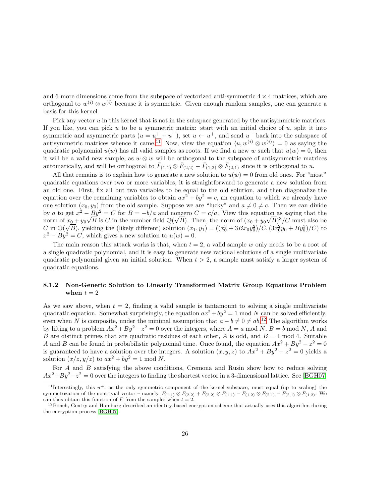and 6 more dimensions come from the subspace of vectorized anti-symmetric  $4 \times 4$  matrices, which are orthogonal to  $w^{(i)} \otimes w^{(i)}$  because it is symmetric. Given enough random samples, one can generate a basis for this kernel.

Pick any vector u in this kernel that is not in the subspace generated by the antisymmetric matrices. If you like, you can pick u to be a symmetric matrix: start with an initial choice of  $u$ , split it into symmetric and asymmetric parts  $(u = u^+ + u^-)$ , set  $u \leftarrow u^+$ , and send  $u^-$  back into the subspace of antisymmetric matrices whence it came.<sup>[11](#page-25-0)</sup> Now, view the equation  $\langle u, w^{(i)} \otimes w^{(i)} \rangle = 0$  as saying the quadratic polynomial  $u(w)$  has all valid samples as roots. If we find a new w such that  $u(w) = 0$ , then it will be a valid new sample, as  $w \otimes w$  will be orthogonal to the subspace of antisymmetric matrices automatically, and will be orthogonal to  $\bar{F}_{(1,1)} \otimes \bar{F}_{(2,2)} - \bar{F}_{(1,2)} \otimes \bar{F}_{(2,1)}$  since it is orthogonal to u.

All that remains is to explain how to generate a new solution to  $u(w) = 0$  from old ones. For "most" quadratic equations over two or more variables, it is straightforward to generate a new solution from an old one. First, fix all but two variables to be equal to the old solution, and then diagonalize the equation over the remaining variables to obtain  $ax^2 + by^2 = c$ , an equation to which we already have one solution  $(x_0, y_0)$  from the old sample. Suppose we are "lucky" and  $a \neq 0 \neq c$ . Then we can divide by a to get  $x^2 - By^2 = C$  for  $B = -b/a$  and nonzero  $C = c/a$ . View this equation as saying that the norm of  $x_0 + y_0 \sqrt{B}$  is C in the number field  $\mathbb{Q}(\sqrt{B})$ . Then, the norm of  $(x_0 + y_0 \sqrt{B})^3/C$  must also be Form of  $\omega_0^0 + g_0^0 \sqrt{B}$ , yielding the (likely different) solution  $(x_1, y_1) = ((x_0^3 + 3Bx_0y_0^2)/C, (3x_0^2y_0 + By_0^3)/C)$  to  $x^2 - By^2 = C$ , which gives a new solution to  $u(w) = 0$ .

The main reason this attack works is that, when  $t = 2$ , a valid sample w only needs to be a root of a single quadratic polynomial, and it is easy to generate new rational solutions of a single multivariate quadratic polynomial given an initial solution. When  $t > 2$ , a sample must satisfy a larger system of quadratic equations.

#### <span id="page-25-2"></span>8.1.2 Non-Generic Solution to Linearly Transformed Matrix Group Equations Problem when  $t = 2$

As we saw above, when  $t = 2$ , finding a valid sample is tantamount to solving a single multivariate quadratic equation. Somewhat surprisingly, the equation  $ax^2 + by^2 = 1$  mod N can be solved efficiently, even when N is composite, under the minimal assumption that  $a - b \neq 0 \neq ab$ .<sup>[12](#page-25-1)</sup> The algorithm works by lifting to a problem  $Ax^2 + By^2 - z^2 = 0$  over the integers, where  $A = a \text{ mod } N$ ,  $B = b \text{ mod } N$ , A and B are distinct primes that are quadratic residues of each other, A is odd, and  $B = 1 \text{ mod } 4$ . Suitable A and B can be found in probabilistic polynomial time. Once found, the equation  $Ax^2 + By^2 - z^2 = 0$ is guaranteed to have a solution over the integers. A solution  $(x, y, z)$  to  $Ax^2 + By^2 - z^2 = 0$  yields a solution  $(x/z, y/z)$  to  $ax^2 + by^2 = 1$  mod N.

For A and B satisfying the above conditions, Cremona and Rusin show how to reduce solving  $Ax^2 + By^2 - z^2 = 0$  over the integers to finding the shortest vector in a 3-dimensional lattice. See [\[BGH07\]](#page-29-10)

<span id="page-25-0"></span><sup>&</sup>lt;sup>11</sup>Interestingly, this  $u^+$ , as the only symmetric component of the kernel subspace, must equal (up to scaling) the symmetrization of the nontrivial vector – namely,  $\bar{F}_{(1,1)} \otimes \bar{F}_{(2,2)} + \bar{F}_{(2,2)} \otimes \bar{F}_{(1,1)} - \bar{F}_{(1,2)} \otimes \bar{F}_{(2,1)} - \bar{F}_{(2,1)} \otimes \bar{F}_{(1,2)}$ . We can thus obtain this function of F from the samples when  $t = 2$ .

<span id="page-25-1"></span><sup>&</sup>lt;sup>12</sup>Boneh, Gentry and Hamburg described an identity-based encryption scheme that actually uses this algorithm during the encryption process [\[BGH07\]](#page-29-10).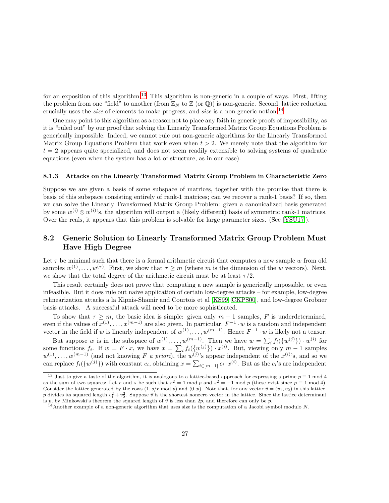for an exposition of this algorithm.<sup>[13](#page-26-1)</sup> This algorithm is non-generic in a couple of ways. First, lifting the problem from one "field" to another (from  $\mathbb{Z}_N$  to  $\mathbb{Z}$  (or  $\mathbb{Q}$ )) is non-generic. Second, lattice reduction crucially uses the *size* of elements to make progress, and *size* is a non-generic notion.<sup>[14](#page-26-2)</sup>

One may point to this algorithm as a reason not to place any faith in generic proofs of impossibility, as it is "ruled out" by our proof that solving the Linearly Transformed Matrix Group Equations Problem is generically impossible. Indeed, we cannot rule out non-generic algorithms for the Linearly Transformed Matrix Group Equations Problem that work even when  $t > 2$ . We merely note that the algorithm for  $t = 2$  appears quite specialized, and does not seem readily extensible to solving systems of quadratic equations (even when the system has a lot of structure, as in our case).

#### <span id="page-26-3"></span>8.1.3 Attacks on the Linearly Transformed Matrix Group Problem in Characteristic Zero

Suppose we are given a basis of some subspace of matrices, together with the promise that there is basis of this subspace consisting entirely of rank-1 matrices; can we recover a rank-1 basis? If so, then we can solve the Linearly Transformed Matrix Group Problem: given a canonicalized basis generated by some  $w^{(i)} \otimes w^{(i)}$ 's, the algorithm will output a (likely different) basis of symmetric rank-1 matrices. Over the reals, it appears that this problem is solvable for large parameter sizes. (See [\[YSU17\]](#page-30-5)).

## <span id="page-26-0"></span>8.2 Generic Solution to Linearly Transformed Matrix Group Problem Must Have High Degree

Let  $\tau$  be minimal such that there is a formal arithmetic circuit that computes a new sample w from old samples  $w^{(1)}, \ldots, w^{(\tau)}$ . First, we show that  $\tau \geq m$  (where m is the dimension of the w vectors). Next, we show that the total degree of the arithmetic circuit must be at least  $\tau/2$ .

This result certainly does not prove that computing a new sample is generically impossible, or even infeasible. But it does rule out naive application of certain low-degree attacks – for example, low-degree relinearization attacks a la Kipnis-Shamir and Courtois et al [\[KS99,](#page-30-2) [CKPS00\]](#page-29-2), and low-degree Grobner basis attacks. A successful attack will need to be more sophisticated.

To show that  $\tau \geq m$ , the basic idea is simple: given only  $m-1$  samples, F is underdetermined, even if the values of  $x^{(1)}, \ldots, x^{(m-1)}$  are also given. In particular,  $F^{-1} \cdot w$  is a random and independent vector in the field if w is linearly independent of  $w^{(1)}, \ldots, w^{(m-1)}$ . Hence  $F^{-1} \cdot w$  is likely not a tensor.

But suppose w is in the subspace of  $w^{(1)}, \ldots, w^{(m-1)}$ . Then we have  $w = \sum_i f_i({w^{(j)}}) \cdot w^{(i)}$  for some functions  $f_i$ . If  $w = F \cdot x$ , we have  $x = \sum_i f_i({w^{(j)}}) \cdot x^{(i)}$ . But, viewing only  $m-1$  samples  $w^{(1)}, \ldots, w^{(m-1)}$  (and not knowing F a priori), the  $w^{(j)}$ 's appear independent of the  $x^{(i)}$ 's, and so we can replace  $f_i(\{w^{(j)}\})$  with constant  $c_i$ , obtaining  $x = \sum_{i \in [m-1]} c_i \cdot x^{(i)}$ . But as the  $c_i$ 's are independent

<span id="page-26-1"></span><sup>&</sup>lt;sup>13</sup> Just to give a taste of the algorithm, it is analogous to a lattice-based approach for expressing a prime  $p \equiv 1 \mod 4$ as the sum of two squares: Let r and s be such that  $r^2 = 1 \mod p$  and  $s^2 = -1 \mod p$  (these exist since  $p \equiv 1 \mod 4$ ). Consider the lattice generated by the rows  $(1, s/r \mod p)$  and  $(0, p)$ . Note that, for any vector  $\vec{v} = (v_1, v_2)$  in this lattice, p divides its squared length  $v_1^2 + v_2^2$ . Suppose  $\vec{v}$  is the shortest nonzero vector in the lattice. Since the lattice determinant is p, by Minkowski's theorem the squared length of  $\vec{v}$  is less than 2p, and therefore can only be p.

<span id="page-26-2"></span> $14$ Another example of a non-generic algorithm that uses size is the computation of a Jacobi symbol modulo N.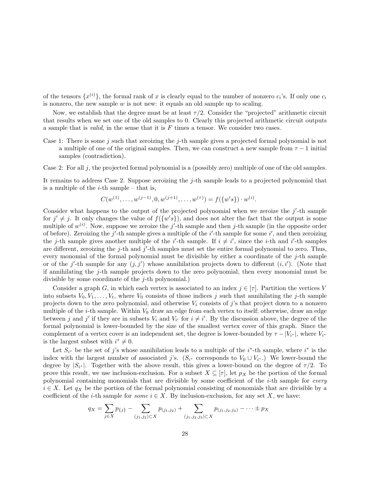of the tensors  $\{x^{(i)}\}$ , the formal rank of x is clearly equal to the number of nonzero  $c_i$ 's. If only one  $c_i$ is nonzero, the new sample  $w$  is not new: it equals an old sample up to scaling.

Now, we establish that the degree must be at least  $\tau/2$ . Consider the "projected" arithmetic circuit that results when we set one of the old samples to 0. Clearly this projected arithmetic circuit outputs a sample that is *valid*, in the sense that it is  $F$  times a tensor. We consider two cases.

Case 1: There is some j such that zeroizing the j-th sample gives a projected formal polynomial is not a multiple of one of the original samples. Then, we can construct a new sample from  $\tau - 1$  initial samples (contradiction).

Case 2: For all j, the projected formal polynomial is a (possibly zero) multiple of one of the old samples.

It remains to address Case 2. Suppose zeroizing the j-th sample leads to a projected polynomial that is a multiple of the  $i$ -th sample – that is,

$$
C(w^{(1)}, \ldots, w^{(j-1)}, 0, w^{(j+1)}, \ldots, w^{(\tau)}) = f(\{w's\}) \cdot w^{(i)}.
$$

Consider what happens to the output of the projected polynomial when we zeroize the  $j'$ -th sample for  $j' \neq j$ . It only changes the value of  $f({w's})$ , and does not alter the fact that the output is some multiple of  $w^{(i)}$ . Now, suppose we zeroize the j'-th sample and then j-th sample (in the opposite order of before). Zeroizing the  $j'$ -th sample gives a multiple of the  $i'$ -th sample for some  $i'$ , and then zeroizing the *j*-th sample gives another multiple of the *i*'-th sample. If  $i \neq i'$ , since the *i*-th and *i*'-th samples are different, zeroizing the j-th and j'-th samples must set the entire formal polynomial to zero. Thus, every monomial of the formal polynomial must be divisible by either a coordinate of the  $j$ -th sample or of the j'-th sample for any  $(j, j')$  whose annihilation projects down to different  $(i, i')$ . (Note that if annihilating the j-th sample projects down to the zero polynomial, then every monomial must be divisible by some coordinate of the  $j$ -th polynomial.)

Consider a graph G, in which each vertex is associated to an index  $j \in [\tau]$ . Partition the vertices V into subsets  $V_0, V_1, \ldots, V_t$ , where  $V_0$  consists of those indices j such that annihilating the j-th sample projects down to the zero polynomial, and otherwise  $V_i$  consists of j's that project down to a nonzero multiple of the  $i$ -th sample. Within  $V_0$  draw an edge from each vertex to itself; otherwise, draw an edge between j and j' if they are in subsets  $V_i$  and  $V_{i'}$  for  $i \neq i'$ . By the discussion above, the degree of the formal polynomial is lower-bounded by the size of the smallest vertex cover of this graph. Since the complement of a vertex cover is an independent set, the degree is lower-bounded by  $\tau - |V_{i^*}|$ , where  $V_{i^*}$ is the largest subset with  $i^* \neq 0$ .

Let  $S_{i^*}$  be the set of j's whose annihilation leads to a multiple of the i<sup>\*</sup>-th sample, where i<sup>\*</sup> is the index with the largest number of associated j's.  $(S_{i^*}$  corresponds to  $V_0 \cup V_{i^*}$ .) We lower-bound the degree by  $|S_{i^*}|$ . Together with the above result, this gives a lower-bound on the degree of  $\tau/2$ . To prove this result, we use inclusion-exclusion. For a subset  $X \subseteq [\tau]$ , let  $p_X$  be the portion of the formal polynomial containing monomials that are divisible by some coefficient of the i-th sample for every  $i \in X$ . Let  $q_X$  be the portion of the formal polynomial consisting of monomials that are divisible by a coefficient of the *i*-th sample for *some*  $i \in X$ . By inclusion-exclusion, for any set X, we have:

$$
q_X = \sum_{j \in X} p_{\{j\}} - \sum_{(j_1, j_2) \subset X} p_{(j_1, j_2)} + \sum_{(j_1, j_2, j_3) \subset X} p_{(j_1, j_2, j_3)} - \dots \pm p_X
$$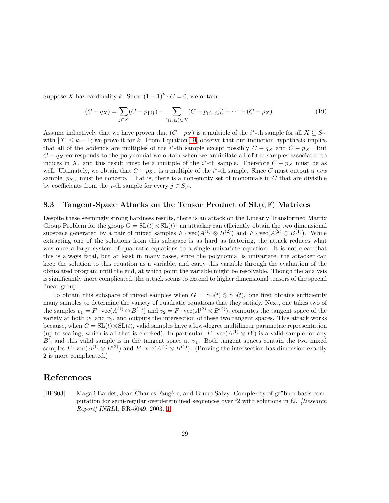Suppose X has cardinality k. Since  $(1-1)^k \cdot C = 0$ , we obtain:

<span id="page-28-2"></span>
$$
(C - q_X) = \sum_{j \in X} (C - p_{\{j\}}) - \sum_{(j_1, j_2) \subset X} (C - p_{(j_1, j_2)}) + \dots \pm (C - p_X)
$$
\n(19)

Assume inductively that we have proven that  $(C - p_X)$  is a multiple of the i<sup>\*</sup>-th sample for all  $X \subseteq S_{i^*}$ with  $|X| \leq k-1$ ; we prove it for k. From Equation [19,](#page-28-2) observe that our induction hypothesis implies that all of the addends are multiples of the i<sup>\*</sup>-th sample except possibly  $C - q_X$  and  $C - p_X$ . But  $C - q<sub>X</sub>$  corresponds to the polynomial we obtain when we annihilate all of the samples associated to indices in X, and this result must be a multiple of the i<sup>\*</sup>-th sample. Therefore  $C - p<sub>X</sub>$  must be as well. Ultimately, we obtain that  $C - p_{S_{i^*}}$  is a multiple of the i<sup>\*</sup>-th sample. Since C must output a new sample,  $p_{S_{i*}}$  must be nonzero. That is, there is a non-empty set of monomials in C that are divisible by coefficients from the *j*-th sample for every  $j \in S_{i^*}$ .

#### <span id="page-28-0"></span>8.3 Tangent-Space Attacks on the Tensor Product of  $SL(t, \mathbb{F})$  Matrices

Despite these seemingly strong hardness results, there is an attack on the Linearly Transformed Matrix Group Problem for the group  $G = SL(t) \otimes SL(t)$ : an attacker can efficiently obtain the two dimensional subspace generated by a pair of mixed samples  $F \cdot \text{vec}(A^{(1)} \otimes B^{(2)})$  and  $F \cdot \text{vec}(A^{(2)} \otimes B^{(1)})$ . While extracting one of the solutions from this subspace is as hard as factoring, the attack reduces what was once a large system of quadratic equations to a single univariate equation. It is not clear that this is always fatal, but at least in many cases, since the polynomial is univariate, the attacker can keep the solution to this equation as a variable, and carry this variable through the evaluation of the obfuscated program until the end, at which point the variable might be resolvable. Though the analysis is significantly more complicated, the attack seems to extend to higher dimensional tensors of the special linear group.

To obtain this subspace of mixed samples when  $G = SL(t) \otimes SL(t)$ , one first obtains sufficiently many samples to determine the variety of quadratic equations that they satisfy. Next, one takes two of the samples  $v_1 = F \cdot vec(A^{(1)} \otimes B^{(1)})$  and  $v_2 = F \cdot vec(A^{(2)} \otimes B^{(2)})$ , computes the tangent space of the variety at both  $v_1$  and  $v_2$ , and outputs the intersection of these two tangent spaces. This attack works because, when  $G = SL(t) \otimes SL(t)$ , valid samples have a low-degree multilinear parametric representation (up to scaling, which is all that is checked). In particular,  $F \cdot \text{vec}(A^{(1)} \otimes B')$  is a valid sample for any  $B'$ , and this valid sample is in the tangent space at  $v_1$ . Both tangent spaces contain the two mixed samples  $F \cdot \text{vec}(A^{(1)} \otimes B^{(2)})$  and  $F \cdot \text{vec}(A^{(2)} \otimes B^{(1)})$ . (Proving the intersection has dimension exactly 2 is more complicated.)

## References

<span id="page-28-1"></span>[BFS03] Magali Bardet, Jean-Charles Faugère, and Bruno Salvy. Complexity of gröbner basis computation for semi-regular overdetermined sequences over f2 with solutions in f2. [Research Report] INRIA, RR-5049, 2003. [1](#page-3-2)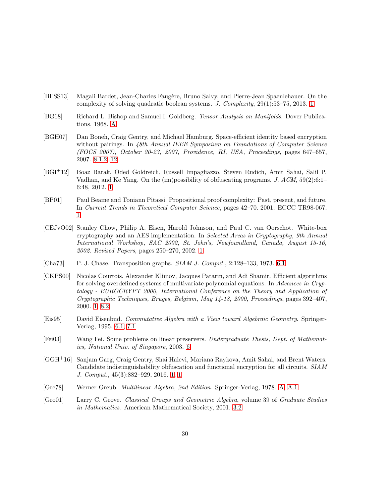- <span id="page-29-3"></span>[BFSS13] Magali Bardet, Jean-Charles Faugère, Bruno Salvy, and Pierre-Jean Spaenlehauer. On the complexity of solving quadratic boolean systems. J. Complexity, 29(1):53–75, 2013. [1](#page-3-2)
- <span id="page-29-11"></span>[BG68] Richard L. Bishop and Samuel I. Goldberg. Tensor Analysis on Manifolds. Dover Publications, 1968. [A](#page-30-0)
- <span id="page-29-10"></span>[BGH07] Dan Boneh, Craig Gentry, and Michael Hamburg. Space-efficient identity based encryption without pairings. In 48th Annual IEEE Symposium on Foundations of Computer Science (FOCS 2007), October 20-23, 2007, Providence, RI, USA, Proceedings, pages 647–657, 2007. [8.1.2,](#page-25-2) [12](#page-25-1)
- <span id="page-29-5"></span>[BGI+12] Boaz Barak, Oded Goldreich, Russell Impagliazzo, Steven Rudich, Amit Sahai, Salil P. Vadhan, and Ke Yang. On the (im)possibility of obfuscating programs. J. ACM, 59(2):6:1– 6:48, 2012. [1](#page-3-2)
- <span id="page-29-4"></span>[BP01] Paul Beame and Toniann Pitassi. Propositional proof complexity: Past, present, and future. In Current Trends in Theoretical Computer Science, pages 42–70. 2001. ECCC TR98-067. [1](#page-3-2)
- <span id="page-29-1"></span>[CEJvO02] Stanley Chow, Philip A. Eisen, Harold Johnson, and Paul C. van Oorschot. White-box cryptography and an AES implementation. In Selected Areas in Cryptography, 9th Annual International Workshop, SAC 2002, St. John's, Newfoundland, Canada, August 15-16, 2002. Revised Papers, pages 250–270, 2002. [1](#page-2-0)
- <span id="page-29-9"></span>[Cha73] P. J. Chase. Transposition graphs.  $SIAM$  J. Comput., 2:128–133, 1973. [6.1](#page-15-1)
- <span id="page-29-2"></span>[CKPS00] Nicolas Courtois, Alexander Klimov, Jacques Patarin, and Adi Shamir. Efficient algorithms for solving overdefined systems of multivariate polynomial equations. In Advances in Cryptology - EUROCRYPT 2000, International Conference on the Theory and Application of Cryptographic Techniques, Bruges, Belgium, May 14-18, 2000, Proceedings, pages 392–407, 2000. [1,](#page-3-2) [8.2](#page-26-0)
- <span id="page-29-8"></span>[Eis95] David Eisenbud. Commutative Algebra with a View toward Algebraic Geometry. Springer-Verlag, 1995. [6.1,](#page-14-1) [7.1](#page-22-1)
- <span id="page-29-7"></span>[Fei03] Wang Fei. Some problems on linear preservers. Undergraduate Thesis, Dept. of Mathematics, National Univ. of Singapore, 2003. [6](#page-12-0)
- <span id="page-29-0"></span>[GGH+16] Sanjam Garg, Craig Gentry, Shai Halevi, Mariana Raykova, Amit Sahai, and Brent Waters. Candidate indistinguishability obfuscation and functional encryption for all circuits. SIAM J. Comput., 45(3):882–929, 2016. [1,](#page-2-0) [1](#page-3-2)
- <span id="page-29-12"></span>[Gre78] Werner Greub. Multilinear Algebra, 2nd Edition. Springer-Verlag, 1978. [A,](#page-30-0) [A.1](#page-31-0)
- <span id="page-29-6"></span>[Gro01] Larry C. Grove. Classical Groups and Geometric Algebra, volume 39 of Graduate Studies in Mathematics. American Mathematical Society, 2001. [3.2](#page-7-0)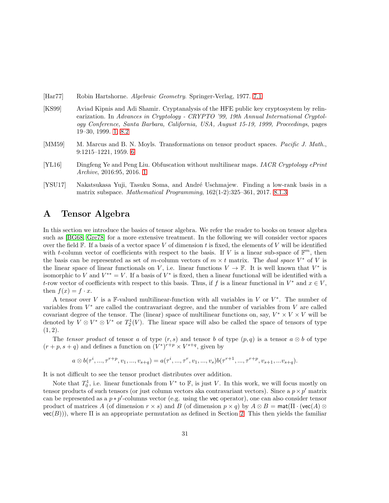- <span id="page-30-4"></span>[Har77] Robin Hartshorne. Algebraic Geometry. Springer-Verlag, 1977. [7.1](#page-22-1)
- <span id="page-30-2"></span>[KS99] Aviad Kipnis and Adi Shamir. Cryptanalysis of the HFE public key cryptosystem by relinearization. In Advances in Cryptology - CRYPTO '99, 19th Annual International Cryptology Conference, Santa Barbara, California, USA, August 15-19, 1999, Proceedings, pages 19–30, 1999. [1,](#page-3-2) [8.2](#page-26-0)
- <span id="page-30-3"></span>[MM59] M. Marcus and B. N. Moyls. Transformations on tensor product spaces. *Pacific J. Math.*, 9:1215–1221, 1959. [6](#page-12-0)
- <span id="page-30-1"></span>[YL16] Dingfeng Ye and Peng Liu. Obfuscation without multilinear maps. IACR Cryptology ePrint Archive, 2016:95, 2016. [1](#page-2-0)
- <span id="page-30-5"></span>[YSU17] Nakatsukasa Yuji, Tasuku Soma, and Andr´e Uschmajew. Finding a low-rank basis in a matrix subspace. Mathematical Programming, 162(1-2):325–361, 2017. [8.1.3](#page-26-3)

# <span id="page-30-0"></span>A Tensor Algebra

In this section we introduce the basics of tensor algebra. We refer the reader to books on tensor algebra such as [\[BG68,](#page-29-11) [Gre78\]](#page-29-12) for a more extensive treatment. In the following we will consider vector spaces over the field  $\mathbb F$ . If a basis of a vector space V of dimension t is fixed, the elements of V will be identified with t-column vector of coefficients with respect to the basis. If V is a linear sub-space of  $\mathbb{F}^m$ , then the basis can be represented as set of m-column vectors of  $m \times t$  matrix. The *dual space*  $V^*$  of V is the linear space of linear functionals on V, i.e. linear functions  $V \to \mathbb{F}$ . It is well known that  $V^*$  is isomorphic to V and  $V^{**} = V$ . If a basis of  $V^*$  is fixed, then a linear functional will be identified with a t-row vector of coefficients with respect to this basis. Thus, if f is a linear functional in  $V^*$  and  $x \in V$ , then  $f(x) = f \cdot x$ .

A tensor over V is a F-valued multilinear-function with all variables in V or  $V^*$ . The number of variables from  $V^*$  are called the contravariant degree, and the number of variables from  $V$  are called covariant degree of the tensor. The (linear) space of multilinear functions on, say,  $V^* \times V \times V$  will be denoted by  $V \otimes V^* \otimes V^*$  or  $T_2^1(V)$ . The linear space will also be called the space of tensors of type  $(1, 2)$ .

The tensor product of tensor a of type  $(r, s)$  and tensor b of type  $(p, q)$  is a tensor  $a \otimes b$  of type  $(r+p, s+q)$  and defines a function on  $(V^*)^{r+p} \times V^{s+q}$ , given by

$$
a \otimes b(\tau^i, ..., \tau^{r+p}, v_1, ..., v_{s+q}) = a(\tau^i, ..., \tau^r, v_1, ..., v_s) b(\tau^{r+1}, ..., \tau^{r+p}, v_{s+1}, ...v_{s+q}).
$$

It is not difficult to see the tensor product distributes over addition.

Note that  $T_0^1$ , i.e. linear functionals from  $V^*$  to  $\mathbb{F}$ , is just V. In this work, we will focus mostly on tensor products of such tensors (or just column vectors aka contravariant vectors). Since a  $p \times p'$  matrix can be represented as a  $p * p'$ -columns vector (e.g. using the vec operator), one can also consider tensor product of matrices A (of dimension  $r \times s$ ) and B (of dimension  $p \times q$ ) by  $A \otimes B = \text{mat}(\Pi \cdot (\text{vec}(A) \otimes$  $vec(B)$ ), where  $\Pi$  is an appropriate permutation as defined in Section [2.](#page-5-0) This then yields the familiar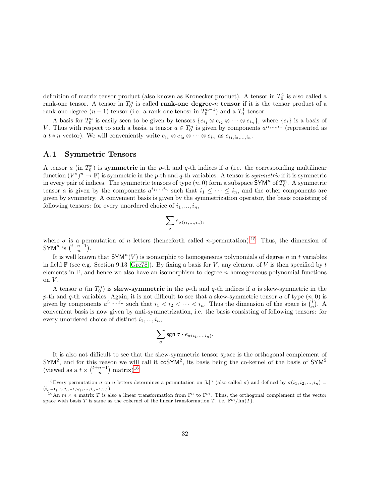definition of matrix tensor product (also known as Kronecker product). A tensor in  $T_0^1$  is also called a rank-one tensor. A tensor in  $T_0^n$  is called **rank-one degree-**n tensor if it is the tensor product of a rank-one degree- $(n-1)$  tensor (i.e. a rank-one tenosr in  $T_0^{n-1}$ ) and a  $T_0^1$  tensor.

A basis for  $T_0^n$  is easily seen to be given by tensors  $\{e_{i_1} \otimes e_{i_2} \otimes \cdots \otimes e_{i_n}\}$ , where  $\{e_i\}$  is a basis of V. Thus with respect to such a basis, a tensor  $a \in T_0^n$  is given by components  $a^{i_1,...,i_n}$  (represented as a  $t * n$  vector). We will conveniently write  $e_{i_1} \otimes e_{i_2} \otimes \cdots \otimes e_{i_n}$  as  $e_{i_1, i_2, \ldots, i_n}$ .

#### <span id="page-31-0"></span>A.1 Symmetric Tensors

A tensor a (in  $T_0^n$ ) is **symmetric** in the p-th and q-th indices if a (i.e. the corresponding multilinear function  $(V^*)^n \to \mathbb{F}$ ) is symmetric in the p-th and q-th variables. A tensor is symmetric if it is symmetric in every pair of indices. The symmetric tensors of type  $(n, 0)$  form a subspace SYM<sup>n</sup> of  $T_0^n$ . A symmetric tensor a is given by the components  $a^{i_1,...,i_n}$  such that  $i_1 \leq \cdots \leq i_n$ , and the other components are given by symmetry. A convenient basis is given by the symmetrization operator, the basis consisting of following tensors: for every unordered choice of  $i_1, ..., i_n$ ,

$$
\sum_{\sigma} e_{\sigma(i_1,\ldots,i_n)},
$$

where  $\sigma$  is a permutation of n letters (henceforth called n-permutation).<sup>[15](#page-31-1)</sup> Thus, the dimension of SYM<sup>n</sup> is  $\binom{t+n-1}{n}$ .

It is well known that  $\text{SYM}^n(V)$  is isomorphic to homogeneous polynomials of degree n in t variables in field  $\mathbb{F}$  (see e.g. Section 9.13 [\[Gre78\]](#page-29-12)). By fixing a basis for V, any element of V is then specified by t elements in  $F$ , and hence we also have an isomorphism to degree n homogeneous polynomial functions on  $V$ .

A tensor a (in  $T_0^n$ ) is **skew-symmetric** in the p-th and q-th indices if a is skew-symmetric in the p-th and q-th variables. Again, it is not difficult to see that a skew-symmetric tensor a of type  $(n, 0)$  is given by components  $a^{i_1,...,i_n}$  such that  $i_1 < i_2 < \cdots < i_n$ . Thus the dimension of the space is  $\binom{i}{n}$ . convenient basis is now given by anti-symmetrization, i.e. the basis consisting of following tensors: for every unordered choice of distinct  $i_1, ..., i_n$ ,

$$
\sum_{\sigma} \operatorname{sgn} \sigma \cdot e_{\sigma(i_1,...,i_n)}.
$$

It is also not difficult to see that the skew-symmetric tensor space is the orthogonal complement of  $\mathsf{SYM}^2$ , and for this reason we will call it  $\mathsf{coSYM}^2$ , its basis being the co-kernel of the basis of  $\mathsf{SYM}^2$ (viewed as a  $t \times \binom{t+n-1}{n}$  matrix)<sup>[16](#page-31-2)</sup>

<span id="page-31-1"></span><sup>&</sup>lt;sup>15</sup>Every permutation  $\sigma$  on n letters determines a permutation on  $[k]^n$  (also called  $\sigma$ ) and defined by  $\sigma(i_1, i_2, ..., i_n)$  $(i_{\sigma^{-1}(1)}, i_{\sigma^{-1}(2)},...,i_{\sigma^{-1}(n)}).$ 

<span id="page-31-2"></span><sup>&</sup>lt;sup>16</sup>An  $m \times n$  matrix T is also a linear transformation from  $\mathbb{F}^n$  to  $\mathbb{F}^m$ . Thus, the orthogonal complement of the vector space with basis T is same as the cokernel of the linear transformation T, i.e.  $\mathbb{F}^m/\text{Im}(T)$ .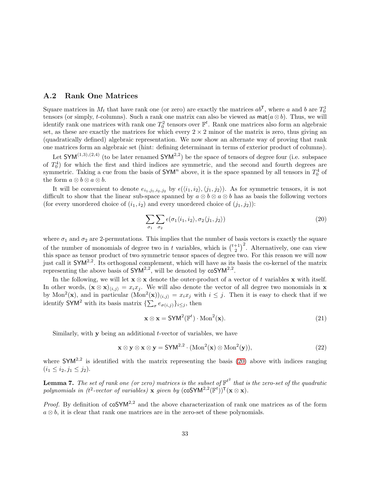#### <span id="page-32-0"></span>A.2 Rank One Matrices

Square matrices in  $M_t$  that have rank one (or zero) are exactly the matrices  $ab^{\mathsf{T}}$ , where a and b are  $T_0^1$ tensors (or simply, t-columns). Such a rank one matrix can also be viewed as  $\text{mat}(a \otimes b)$ . Thus, we will identify rank one matrices with rank one  $T_0^2$  tensors over  $\mathbb{F}^t$ . Rank one matrices also form an algebraic set, as these are exactly the matrices for which every  $2 \times 2$  minor of the matrix is zero, thus giving an (quadratically defined) algebraic representation. We now show an alternate way of proving that rank one matrices form an algebraic set (hint: defining determinant in terms of exterior product of columns).

Let  $\mathsf{SYM}^{(1,3),(2,4)}$  (to be later renamed  $\mathsf{SYM}^{2,2}$ ) be the space of tensors of degree four (i.e. subspace of  $T_0^4$ ) for which the first and third indices are symmetric, and the second and fourth degrees are symmetric. Taking a cue from the basis of  $\textsf{SYM}^n$  above, it is the space spanned by all tensors in  $T_0^4$  of the form  $a \otimes b \otimes a \otimes b$ .

It will be convenient to denote  $e_{i_1,j_1,i_2,j_2}$  by  $\epsilon(\langle i_1,i_2\rangle,\langle j_1,j_2\rangle)$ . As for symmetric tensors, it is not difficult to show that the linear sub-space spanned by  $a \otimes b \otimes a \otimes b$  has as basis the following vectors (for every unordered choice of  $(i_1, i_2)$  and every unordered choice of  $(j_1, j_2)$ ):

<span id="page-32-3"></span>
$$
\sum_{\sigma_1} \sum_{\sigma_2} \epsilon(\sigma_1 \langle i_1, i_2 \rangle, \sigma_2 \langle j_1, j_2 \rangle)
$$
\n(20)

where  $\sigma_1$  and  $\sigma_2$  are 2-permutations. This implies that the number of basis vectors is exactly the square of the number of monomials of degree two in t variables, which is  $\binom{t+1}{2}^2$ . Alternatively, one can view this space as tensor product of two symmetric tensor spaces of degree two. For this reason we will now just call it  $\mathsf{SYM}^{2,2}$ . Its orthogonal complement, which will have as its basis the co-kernel of the matrix representing the above basis of  $\mathsf{SYM}^{2,2}$ , will be denoted by  $\mathsf{coSYM}^{2,2}$ .

In the following, we will let  $\mathbf{x} \otimes \mathbf{x}$  denote the outer-product of a vector of t variables  $\mathbf{x}$  with itself. In other words,  $(\mathbf{x} \otimes \mathbf{x})_{\langle i,j \rangle} = x_i x_j$ . We will also denote the vector of all degree two monomials in **x** by Mon<sup>2</sup>(**x**), and in particular  $(\text{Mon}^2(\mathbf{x}))_{\langle i,j \rangle} = x_i x_j$  with  $i \leq j$ . Then it is easy to check that if we identify SYM<sup>2</sup> with its basis matrix  $\{\sum_{\sigma} e_{\sigma(i,j)}\}_{i\leq j}$ , then

<span id="page-32-2"></span>
$$
\mathbf{x} \otimes \mathbf{x} = \mathsf{SYM}^2(\mathbb{F}^t) \cdot \mathrm{Mon}^2(\mathbf{x}).\tag{21}
$$

Similarly, with  $\bf{v}$  being an additional *t*-vector of variables, we have

$$
\mathbf{x} \otimes \mathbf{y} \otimes \mathbf{x} \otimes \mathbf{y} = \mathsf{SYM}^{2,2} \cdot (\mathrm{Mon}^2(\mathbf{x}) \otimes \mathrm{Mon}^2(\mathbf{y})),\tag{22}
$$

where  $\mathsf{SYM}^{2,2}$  is identified with the matrix representing the basis [\(20\)](#page-32-3) above with indices ranging  $(i_1 \leq i_2, j_1 \leq j_2).$ 

<span id="page-32-1"></span>**Lemma 7.** The set of rank one (or zero) matrices is the subset of  $\mathbb{F}^{t^2}$  that is the zero-set of the quadratic polynomials in (t<sup>2</sup>-vector of variables) **x** given by  $(c \sigma SYM^{2,2}(\mathbb{F}^t))^T (\mathbf{x} \otimes \mathbf{x}).$ 

*Proof.* By definition of  $\cos{\gamma}M^{2,2}$  and the above characterization of rank one matrices as of the form  $a \otimes b$ , it is clear that rank one matrices are in the zero-set of these polynomials.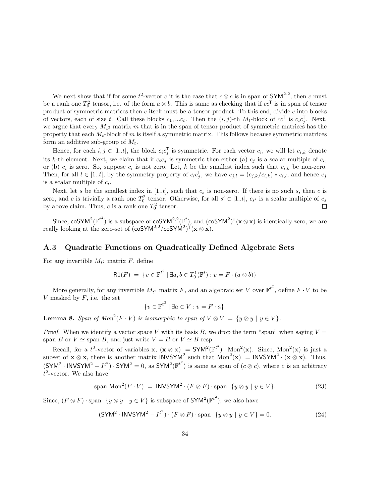We next show that if for some  $t^2$ -vector c it is the case that  $c \otimes c$  is in span of SYM<sup>2,2</sup>, then c must be a rank one  $T_0^2$  tensor, i.e. of the form  $a \otimes b$ . This is same as checking that if  $cc^T$  is in span of tensor product of symmetric matrices then  $c$  itself must be a tensor-product. To this end, divide  $c$  into blocks of vectors, each of size t. Call these blocks  $c_1, ... c_t$ . Then the  $(i, j)$ -th  $M_t$ -block of  $cc^{\mathsf{T}}$  is  $c_i c_j^{\mathsf{T}}$ . Next, we argue that every  $M_{t^2}$  matrix m that is in the span of tensor product of symmetric matrices has the property that each  $M_t$ -block of m is itself a symmetric matrix. This follows because symmetric matrices form an additive sub-group of  $M_t$ .

Hence, for each  $i, j \in [1..t]$ , the block  $c_i c_j^{\mathsf{T}}$  is symmetric. For each vector  $c_i$ , we will let  $c_{i,k}$  denote its k-th element. Next, we claim that if  $c_i c_j^{\mathsf{T}}$  is symmetric then either (a)  $c_j$  is a scalar multiple of  $c_i$ , or (b)  $c_i$  is zero. So, suppose  $c_i$  is not zero. Let, k be the smallest index such that  $c_{i,k}$  be non-zero. Then, for all  $l \in [1..t]$ , by the symmetry property of  $c_i c_j^{\mathsf{T}}$ , we have  $c_{j,l} = (c_{j,k}/c_{i,k}) * c_{i,l}$ , and hence  $c_j$ is a scalar multiple of  $c_i$ .

Next, let s be the smallest index in [1..t], such that  $c_s$  is non-zero. If there is no such s, then c is zero, and c is trivially a rank one  $T_0^2$  tensor. Otherwise, for all  $s' \in [1..t]$ ,  $c_{s'}$  is a scalar multiple of  $c_s$ by above claim. Thus, c is a rank one  $T_0^2$  tensor.  $\Box$ 

Since, coSYM<sup>2</sup>( $\mathbb{F}^{t^2}$ ) is a subspace of coSYM<sup>2,2</sup>( $\mathbb{F}^t$ ), and (coSYM<sup>2</sup>)<sup>T</sup>( $\mathbf{x} \otimes \mathbf{x}$ ) is identically zero, we are really looking at the zero-set of  $(\cos Y M^{2,2} / \cos Y M^{2})^{\mathsf{T}} (\mathbf{x} \otimes \mathbf{x}).$ 

#### <span id="page-33-0"></span>A.3 Quadratic Functions on Quadratically Defined Algebraic Sets

For any invertible  $M_{t^2}$  matrix F, define

$$
\mathsf{R1}(F) = \{ v \in \mathbb{F}^{t^2} \mid \exists a, b \in T_0^1(\mathbb{F}^t) : v = F \cdot (a \otimes b) \}
$$

More generally, for any invertible  $M_{t^2}$  matrix F, and an algebraic set V over  $\mathbb{F}^{t^2}$ , define  $F \cdot V$  to be V masked by  $F$ , i.e. the set

$$
\{v \in \mathbb{F}^{t^2} \mid \exists a \in V : v = F \cdot a\}.
$$

<span id="page-33-3"></span>**Lemma 8.** Span of  $Mon^2(F \cdot V)$  is isomorphic to span of  $V \otimes V = \{y \otimes y \mid y \in V\}$ .

*Proof.* When we identify a vector space V with its basis B, we drop the term "span" when saying  $V =$ span B or  $V \simeq$  span B, and just write  $V = B$  or  $V \simeq B$  resp.

Recall, for a  $t^2$ -vector of variables **x**,  $(\mathbf{x} \otimes \mathbf{x}) = \text{SYM}^2(\mathbb{F}^{t^2}) \cdot \text{Mon}^2(\mathbf{x})$ . Since, Mon<sup>2</sup>(**x**) is just a subset of  $\mathbf{x} \otimes \mathbf{x}$ , there is another matrix INVSYM<sup>2</sup> such that  $Mon^2(\mathbf{x}) = INVSYM^2 \cdot (\mathbf{x} \otimes \mathbf{x})$ . Thus,  $(SYM^2 \cdot INVSYM^2 - I^{t^2}) \cdot SYM^2 = 0$ , as  $SYM^2(\mathbb{F}^{t^2})$  is same as span of  $(c \otimes c)$ , where c is an arbitrary  $t^2$ -vector. We also have

<span id="page-33-2"></span>
$$
\text{span Mon}^{2}(F \cdot V) = \text{INVSYM}^{2} \cdot (F \otimes F) \cdot \text{span } \{ y \otimes y \mid y \in V \}. \tag{23}
$$

Since,  $(F \otimes F)$  · span  $\{y \otimes y \mid y \in V\}$  is subspace of  $\text{SYM}^2(\mathbb{F}^{t^2})$ , we also have

<span id="page-33-1"></span>
$$
(\text{SYM}^2 \cdot \text{INVSYM}^2 - I^{t^2}) \cdot (F \otimes F) \cdot \text{span} \ \{y \otimes y \mid y \in V\} = 0. \tag{24}
$$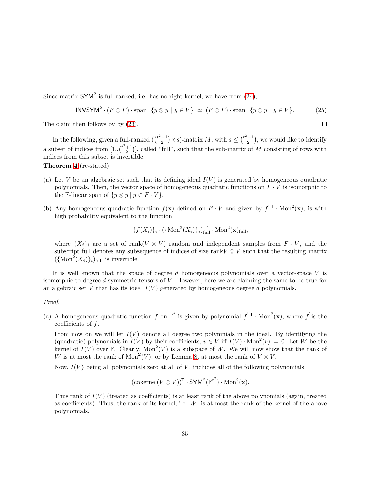Since matrix  $\mathsf{SYM}^2$  is full-ranked, i.e. has no right kernel, we have from [\(24\)](#page-33-1),

$$
INVSYM^{2} \cdot (F \otimes F) \cdot \text{span } \{y \otimes y \mid y \in V\} \simeq (F \otimes F) \cdot \text{span } \{y \otimes y \mid y \in V\}. \tag{25}
$$

 $\Box$ 

The claim then follows by by  $(23)$ .

In the following, given a full-ranked  $\left(\binom{t^2+1}{2} \times s\right)$ -matrix M, with  $s \leq \binom{t^2+1}{2}$ , we would like to identify a subset of indices from  $[1..\binom{t^2+1}{2}]$ , called "full", such that the sub-matrix of M consisting of rows with indices from this subset is invertible.

Theorem [4](#page-10-2) (re-stated)

- (a) Let V be an algebraic set such that its defining ideal  $I(V)$  is generated by homogeneous quadratic polynomials. Then, the vector space of homogeneous quadratic functions on  $F \cdot V$  is isomorphic to the F-linear span of  $\{y \otimes y \mid y \in F \cdot V\}.$
- (b) Any homogeneous quadratic function  $f(\mathbf{x})$  defined on  $F \cdot V$  and given by  $\vec{f}^T \cdot \text{Mon}^2(\mathbf{x})$ , is with high probability equivalent to the function

$$
\{f(X_i)\}_i \cdot (\{\mathrm{Mon}^2(X_i)\}_i)_{\mathrm{full}}^{-1} \cdot \mathrm{Mon}^2(\mathbf{x})_{\mathrm{full}},
$$

where  $\{X_i\}_i$  are a set of rank $(V \otimes V)$  random and independent samples from  $F \cdot V$ , and the subscript full denotes any subsequence of indices of size rank $V \otimes V$  such that the resulting matrix  $({\text{Mon}^2(X_i)}_i)_{i\text{full}}$  is invertible.

It is well known that the space of degree  $d$  homogeneous polynomials over a vector-space  $V$  is isomorphic to degree  $d$  symmetric tensors of  $V$ . However, here we are claiming the same to be true for an algebraic set V that has its ideal  $I(V)$  generated by homogeneous degree d polynomials.

#### Proof.

(a) A homogeneous quadratic function f on  $\mathbb{F}^t$  is given by polynomial  $\vec{f}^T \cdot \text{Mon}^2(\mathbf{x})$ , where  $\vec{f}$  is the coefficients of f.

From now on we will let  $I(V)$  denote all degree two polynmials in the ideal. By identifying the (quadratic) polynomials in  $I(V)$  by their coefficients,  $v \in V$  iff  $I(V) \cdot \text{Mon}^2(v) = 0$ . Let W be the kernel of  $I(V)$  over F. Clearly,  $Mon^2(V)$  is a subspace of W. We will now show that the rank of W is at most the rank of  $Mon^2(V)$ , or by Lemma [8,](#page-33-3) at most the rank of  $V \otimes V$ .

Now,  $I(V)$  being all polynomials zero at all of V, includes all of the following polynomials

$$
(\text{cokernel}(V \otimes V))^{\mathsf{T}} \cdot \text{SYM}^2(\mathbb{F}^{t^2}) \cdot \text{Mon}^2(\mathbf{x}).
$$

Thus rank of  $I(V)$  (treated as coefficients) is at least rank of the above polynomials (again, treated as coefficients). Thus, the rank of its kernel, i.e.  $W$ , is at most the rank of the kernel of the above polynomials.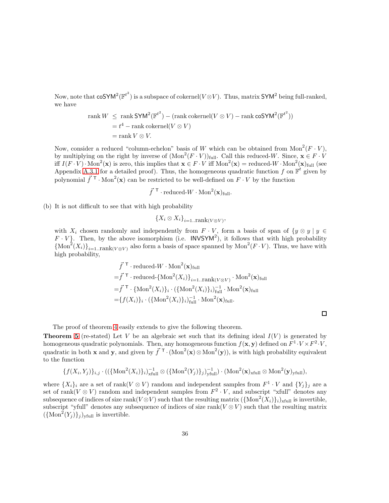Now, note that  $\mathsf{coSYM}^2(\mathbb{F}^{t^2})$  is a subspace of cokernel( $V\otimes V$ ). Thus, matrix  $\mathsf{SYM}^2$  being full-ranked, we have

$$
\text{rank } W \le \text{rank } \mathsf{SYM}^2(\mathbb{F}^{t^2}) - (\text{rank } \text{cokernel}(V \otimes V) - \text{rank } \text{co}\mathsf{SYM}^2(\mathbb{F}^{t^2}))
$$
\n
$$
= t^4 - \text{rank } \text{cokernel}(V \otimes V)
$$
\n
$$
= \text{rank } V \otimes V.
$$

Now, consider a reduced "column-echelon" basis of W which can be obtained from  $Mon^2(F \cdot V)$ , by multiplying on the right by inverse of  $(Mon^2(F \cdot V))_{full}$ . Call this reduced-W. Since,  $\mathbf{x} \in F \cdot V$ iff  $I(F \cdot V) \cdot \text{Mon}^2(\mathbf{x})$  is zero, this implies that  $\mathbf{x} \in F \cdot V$  iff  $\text{Mon}^2(\mathbf{x}) = \text{reduced-}W \cdot \text{Mon}^2(\mathbf{x})_{\text{full}}$  (see Appendix [A.3.1](#page-36-0) for a detailed proof). Thus, the homogeneous quadratic function f on  $\mathbb{F}^t$  given by polynomial  $\vec{f}^{\top} \cdot \text{Mon}^2(\mathbf{x})$  can be restricted to be well-defined on  $F \cdot V$  by the function

$$
\vec{f}^{\mathsf{T}}\cdot\text{reduced-}W\cdot\text{Mon}^2(\mathbf{x})_{\text{full}}.
$$

(b) It is not difficult to see that with high probability

$$
\{X_i \otimes X_i\}_{i=1..\text{rank}(V \otimes V)},
$$

with  $X_i$  chosen randomly and independently from  $F \cdot V$ , form a basis of span of  $\{y \otimes y \mid y \in V\}$  $F \cdot V$ . Then, by the above isomorphism (i.e. INVSYM<sup>2</sup>), it follows that with high probability  ${\rm Mon}^2(X_i)\}_{i=1..}$  rank $(V\otimes V)$  also form a basis of space spanned by  $Mon^2(F\cdot V)$ . Thus, we have with high probability,

$$
\vec{f}^{\mathsf{T}} \cdot \text{reduced-W} \cdot \text{Mon}^{2}(\mathbf{x})_{\text{full}}
$$
\n
$$
= \vec{f}^{\mathsf{T}} \cdot \text{reduced-}\{\text{Mon}^{2}(X_{i})\}_{i=1..\text{rank}(V \otimes V)} \cdot \text{Mon}^{2}(\mathbf{x})_{\text{full}}
$$
\n
$$
= \vec{f}^{\mathsf{T}} \cdot \{\text{Mon}^{2}(X_{i})\}_{i} \cdot (\{\text{Mon}^{2}(X_{i})\}_{i})_{\text{full}}^{-1} \cdot \text{Mon}^{2}(\mathbf{x})_{\text{full}}
$$
\n
$$
= \{f(X_{i})\}_{i} \cdot (\{\text{Mon}^{2}(X_{i})\}_{i})_{\text{full}}^{-1} \cdot \text{Mon}^{2}(\mathbf{x})_{\text{full}}.
$$

The proof of theorem [4](#page-10-2) easily extends to give the following theorem.

**Theorem [5](#page-11-1)** (re-stated) Let V be an algebraic set such that its defining ideal  $I(V)$  is generated by homogeneous quadratic polynomials. Then, any homogeneous function  $f(\mathbf{x}, \mathbf{y})$  defined on  $F^1 \cdot V \times F^2 \cdot V$ , quadratic in both **x** and **y**, and given by  $\vec{f}^T \cdot (\text{Mon}^2(\mathbf{x}) \otimes \text{Mon}^2(\mathbf{y}))$ , is with high probability equivalent to the function

$$
\{f(X_i,Y_j)\}_{i,j} \cdot (({\text{Mon}^2(X_i)}_i)_i)_{\text{xtull}}^{-1} \otimes ({\text{Mon}^2(Y_j)}_j)_j)_{\text{ytull}}^{-1}) \cdot (\text{Mon}^2(\mathbf{x})_{\text{xtull}} \otimes \text{Mon}^2(\mathbf{y})_{\text{ytull}}),
$$

where  $\{X_i\}_i$  are a set of rank $(V \otimes V)$  random and independent samples from  $F^1 \cdot V$  and  $\{Y_j\}_j$  are a set of rank( $V \otimes V$ ) random and independent samples from  $F^2 \cdot V$ , and subscript "xfull" denotes any subsequence of indices of size  $\text{rank}(V \otimes V)$  such that the resulting matrix  $(\{\text{Mon}^2(X_i)\}_i)_{\text{xfull}}$  is invertible, subscript "yfull" denotes any subsequence of indices of size rank( $V \otimes V$ ) such that the resulting matrix  $(\text{Mon}^2(Y_j)\}_j)_{\text{yfull}}$  is invertible.